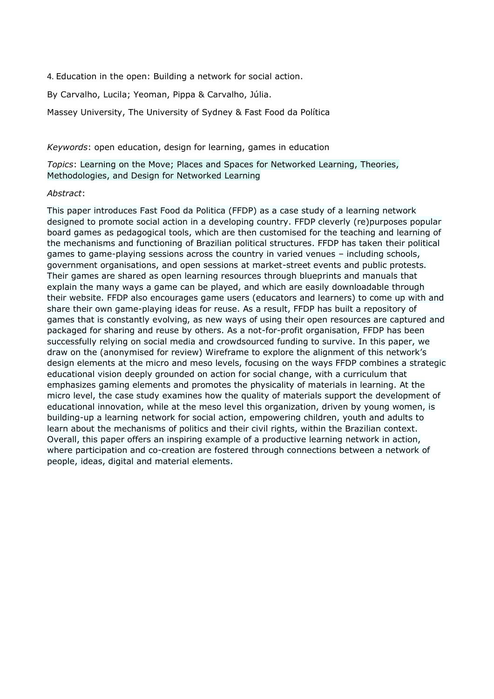4. Education in the open: Building a network for social action.

By Carvalho, Lucila; Yeoman, Pippa & Carvalho, Júlia.

Massey University, The University of Sydney & Fast Food da Política

*Keywords*: open education, design for learning, games in education

*Topics*: Learning on the Move; Places and Spaces for Networked Learning, Theories, Methodologies, and Design for Networked Learning

### *Abstract*:

This paper introduces Fast Food da Politica (FFDP) as a case study of a learning network designed to promote social action in a developing country. FFDP cleverly (re)purposes popular board games as pedagogical tools, which are then customised for the teaching and learning of the mechanisms and functioning of Brazilian political structures. FFDP has taken their political games to game-playing sessions across the country in varied venues – including schools, government organisations, and open sessions at market-street events and public protests. Their games are shared as open learning resources through blueprints and manuals that explain the many ways a game can be played, and which are easily downloadable through their website. FFDP also encourages game users (educators and learners) to come up with and share their own game-playing ideas for reuse. As a result, FFDP has built a repository of games that is constantly evolving, as new ways of using their open resources are captured and packaged for sharing and reuse by others. As a not-for-profit organisation, FFDP has been successfully relying on social media and crowdsourced funding to survive. In this paper, we draw on the (anonymised for review) Wireframe to explore the alignment of this network's design elements at the micro and meso levels, focusing on the ways FFDP combines a strategic educational vision deeply grounded on action for social change, with a curriculum that emphasizes gaming elements and promotes the physicality of materials in learning. At the micro level, the case study examines how the quality of materials support the development of educational innovation, while at the meso level this organization, driven by young women, is building-up a learning network for social action, empowering children, youth and adults to learn about the mechanisms of politics and their civil rights, within the Brazilian context. Overall, this paper offers an inspiring example of a productive learning network in action, where participation and co-creation are fostered through connections between a network of people, ideas, digital and material elements.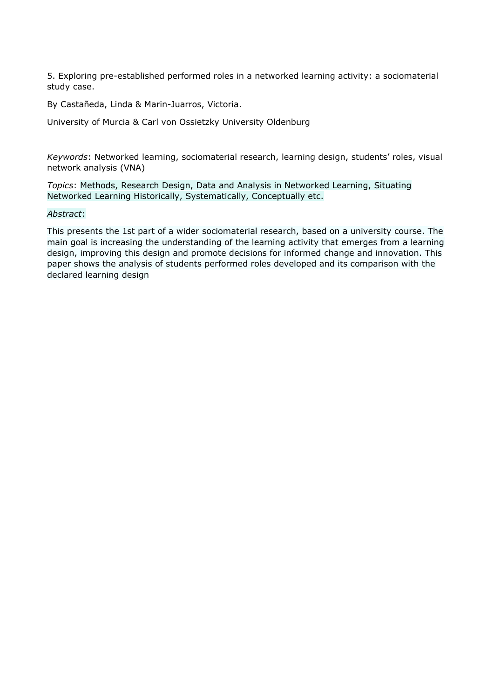5. Exploring pre-established performed roles in a networked learning activity: a sociomaterial study case.

By Castañeda, Linda & Marin-Juarros, Victoria.

University of Murcia & Carl von Ossietzky University Oldenburg

*Keywords*: Networked learning, sociomaterial research, learning design, students' roles, visual network analysis (VNA)

*Topics*: Methods, Research Design, Data and Analysis in Networked Learning, Situating Networked Learning Historically, Systematically, Conceptually etc.

## *Abstract*:

This presents the 1st part of a wider sociomaterial research, based on a university course. The main goal is increasing the understanding of the learning activity that emerges from a learning design, improving this design and promote decisions for informed change and innovation. This paper shows the analysis of students performed roles developed and its comparison with the declared learning design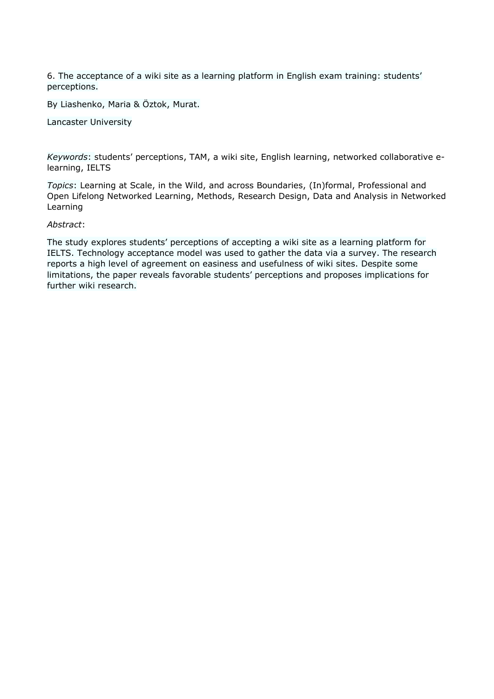6. The acceptance of a wiki site as a learning platform in English exam training: students' perceptions.

By Liashenko, Maria & Öztok, Murat.

Lancaster University

*Keywords*: students' perceptions, TAM, a wiki site, English learning, networked collaborative elearning, IELTS

*Topics*: Learning at Scale, in the Wild, and across Boundaries, (In)formal, Professional and Open Lifelong Networked Learning, Methods, Research Design, Data and Analysis in Networked Learning

### *Abstract*:

The study explores students' perceptions of accepting a wiki site as a learning platform for IELTS. Technology acceptance model was used to gather the data via a survey. The research reports a high level of agreement on easiness and usefulness of wiki sites. Despite some limitations, the paper reveals favorable students' perceptions and proposes implications for further wiki research.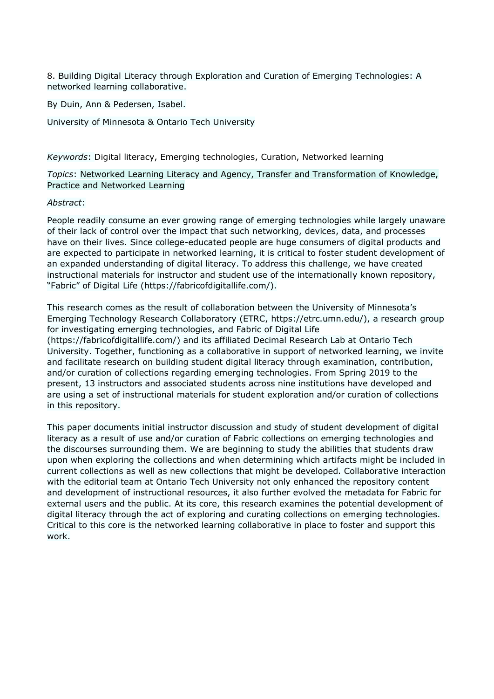8. Building Digital Literacy through Exploration and Curation of Emerging Technologies: A networked learning collaborative.

By Duin, Ann & Pedersen, Isabel.

University of Minnesota & Ontario Tech University

*Keywords*: Digital literacy, Emerging technologies, Curation, Networked learning

*Topics*: Networked Learning Literacy and Agency, Transfer and Transformation of Knowledge, Practice and Networked Learning

### *Abstract*:

People readily consume an ever growing range of emerging technologies while largely unaware of their lack of control over the impact that such networking, devices, data, and processes have on their lives. Since college-educated people are huge consumers of digital products and are expected to participate in networked learning, it is critical to foster student development of an expanded understanding of digital literacy. To address this challenge, we have created instructional materials for instructor and student use of the internationally known repository, "Fabric" of Digital Life (https://fabricofdigitallife.com/).

This research comes as the result of collaboration between the University of Minnesota's Emerging Technology Research Collaboratory (ETRC, https://etrc.umn.edu/), a research group for investigating emerging technologies, and Fabric of Digital Life (https://fabricofdigitallife.com/) and its affiliated Decimal Research Lab at Ontario Tech University. Together, functioning as a collaborative in support of networked learning, we invite and facilitate research on building student digital literacy through examination, contribution, and/or curation of collections regarding emerging technologies. From Spring 2019 to the present, 13 instructors and associated students across nine institutions have developed and are using a set of instructional materials for student exploration and/or curation of collections in this repository.

This paper documents initial instructor discussion and study of student development of digital literacy as a result of use and/or curation of Fabric collections on emerging technologies and the discourses surrounding them. We are beginning to study the abilities that students draw upon when exploring the collections and when determining which artifacts might be included in current collections as well as new collections that might be developed. Collaborative interaction with the editorial team at Ontario Tech University not only enhanced the repository content and development of instructional resources, it also further evolved the metadata for Fabric for external users and the public. At its core, this research examines the potential development of digital literacy through the act of exploring and curating collections on emerging technologies. Critical to this core is the networked learning collaborative in place to foster and support this work.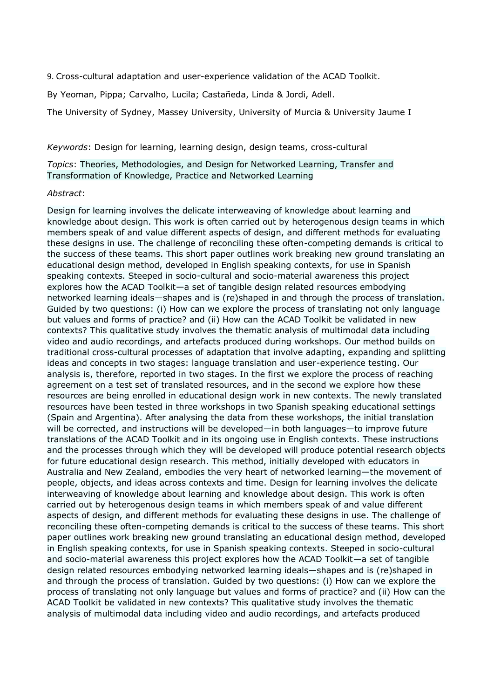9. Cross-cultural adaptation and user-experience validation of the ACAD Toolkit.

By Yeoman, Pippa; Carvalho, Lucila; Castañeda, Linda & Jordi, Adell.

The University of Sydney, Massey University, University of Murcia & University Jaume I

*Keywords*: Design for learning, learning design, design teams, cross-cultural

*Topics*: Theories, Methodologies, and Design for Networked Learning, Transfer and Transformation of Knowledge, Practice and Networked Learning

#### *Abstract*:

Design for learning involves the delicate interweaving of knowledge about learning and knowledge about design. This work is often carried out by heterogenous design teams in which members speak of and value different aspects of design, and different methods for evaluating these designs in use. The challenge of reconciling these often-competing demands is critical to the success of these teams. This short paper outlines work breaking new ground translating an educational design method, developed in English speaking contexts, for use in Spanish speaking contexts. Steeped in socio-cultural and socio-material awareness this project explores how the ACAD Toolkit—a set of tangible design related resources embodying networked learning ideals—shapes and is (re)shaped in and through the process of translation. Guided by two questions: (i) How can we explore the process of translating not only language but values and forms of practice? and (ii) How can the ACAD Toolkit be validated in new contexts? This qualitative study involves the thematic analysis of multimodal data including video and audio recordings, and artefacts produced during workshops. Our method builds on traditional cross-cultural processes of adaptation that involve adapting, expanding and splitting ideas and concepts in two stages: language translation and user-experience testing. Our analysis is, therefore, reported in two stages. In the first we explore the process of reaching agreement on a test set of translated resources, and in the second we explore how these resources are being enrolled in educational design work in new contexts. The newly translated resources have been tested in three workshops in two Spanish speaking educational settings (Spain and Argentina). After analysing the data from these workshops, the initial translation will be corrected, and instructions will be developed—in both languages—to improve future translations of the ACAD Toolkit and in its ongoing use in English contexts. These instructions and the processes through which they will be developed will produce potential research objects for future educational design research. This method, initially developed with educators in Australia and New Zealand, embodies the very heart of networked learning—the movement of people, objects, and ideas across contexts and time. Design for learning involves the delicate interweaving of knowledge about learning and knowledge about design. This work is often carried out by heterogenous design teams in which members speak of and value different aspects of design, and different methods for evaluating these designs in use. The challenge of reconciling these often-competing demands is critical to the success of these teams. This short paper outlines work breaking new ground translating an educational design method, developed in English speaking contexts, for use in Spanish speaking contexts. Steeped in socio-cultural and socio-material awareness this project explores how the ACAD Toolkit—a set of tangible design related resources embodying networked learning ideals—shapes and is (re)shaped in and through the process of translation. Guided by two questions: (i) How can we explore the process of translating not only language but values and forms of practice? and (ii) How can the ACAD Toolkit be validated in new contexts? This qualitative study involves the thematic analysis of multimodal data including video and audio recordings, and artefacts produced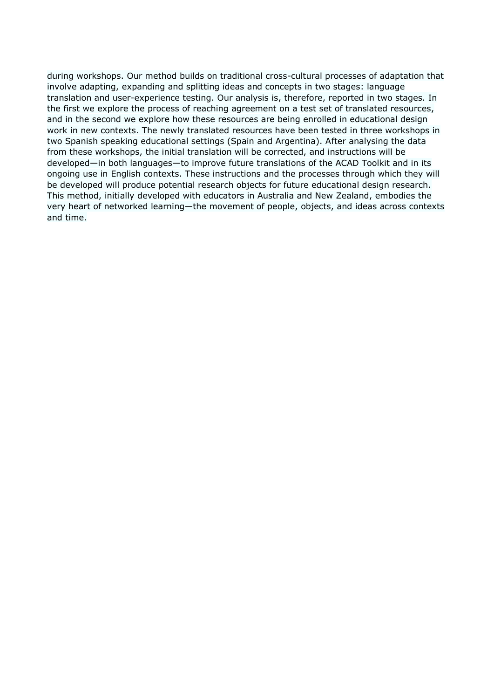during workshops. Our method builds on traditional cross-cultural processes of adaptation that involve adapting, expanding and splitting ideas and concepts in two stages: language translation and user-experience testing. Our analysis is, therefore, reported in two stages. In the first we explore the process of reaching agreement on a test set of translated resources, and in the second we explore how these resources are being enrolled in educational design work in new contexts. The newly translated resources have been tested in three workshops in two Spanish speaking educational settings (Spain and Argentina). After analysing the data from these workshops, the initial translation will be corrected, and instructions will be developed—in both languages—to improve future translations of the ACAD Toolkit and in its ongoing use in English contexts. These instructions and the processes through which they will be developed will produce potential research objects for future educational design research. This method, initially developed with educators in Australia and New Zealand, embodies the very heart of networked learning—the movement of people, objects, and ideas across contexts and time.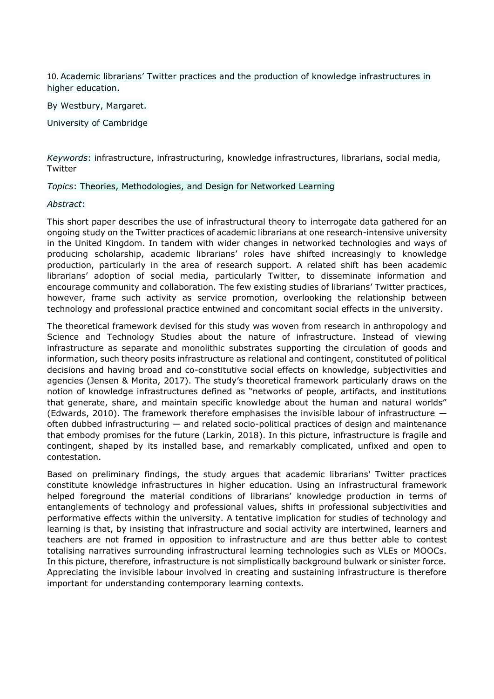10. Academic librarians' Twitter practices and the production of knowledge infrastructures in higher education.

By Westbury, Margaret.

University of Cambridge

*Keywords*: infrastructure, infrastructuring, knowledge infrastructures, librarians, social media, Twitter

*Topics*: Theories, Methodologies, and Design for Networked Learning

### *Abstract*:

This short paper describes the use of infrastructural theory to interrogate data gathered for an ongoing study on the Twitter practices of academic librarians at one research-intensive university in the United Kingdom. In tandem with wider changes in networked technologies and ways of producing scholarship, academic librarians' roles have shifted increasingly to knowledge production, particularly in the area of research support. A related shift has been academic librarians' adoption of social media, particularly Twitter, to disseminate information and encourage community and collaboration. The few existing studies of librarians' Twitter practices, however, frame such activity as service promotion, overlooking the relationship between technology and professional practice entwined and concomitant social effects in the university.

The theoretical framework devised for this study was woven from research in anthropology and Science and Technology Studies about the nature of infrastructure. Instead of viewing infrastructure as separate and monolithic substrates supporting the circulation of goods and information, such theory posits infrastructure as relational and contingent, constituted of political decisions and having broad and co-constitutive social effects on knowledge, subjectivities and agencies (Jensen & Morita, 2017). The study's theoretical framework particularly draws on the notion of knowledge infrastructures defined as "networks of people, artifacts, and institutions that generate, share, and maintain specific knowledge about the human and natural worlds" (Edwards, 2010). The framework therefore emphasises the invisible labour of infrastructure  $$ often dubbed infrastructuring — and related socio-political practices of design and maintenance that embody promises for the future (Larkin, 2018). In this picture, infrastructure is fragile and contingent, shaped by its installed base, and remarkably complicated, unfixed and open to contestation.

Based on preliminary findings, the study argues that academic librarians' Twitter practices constitute knowledge infrastructures in higher education. Using an infrastructural framework helped foreground the material conditions of librarians' knowledge production in terms of entanglements of technology and professional values, shifts in professional subjectivities and performative effects within the university. A tentative implication for studies of technology and learning is that, by insisting that infrastructure and social activity are intertwined, learners and teachers are not framed in opposition to infrastructure and are thus better able to contest totalising narratives surrounding infrastructural learning technologies such as VLEs or MOOCs. In this picture, therefore, infrastructure is not simplistically background bulwark or sinister force. Appreciating the invisible labour involved in creating and sustaining infrastructure is therefore important for understanding contemporary learning contexts.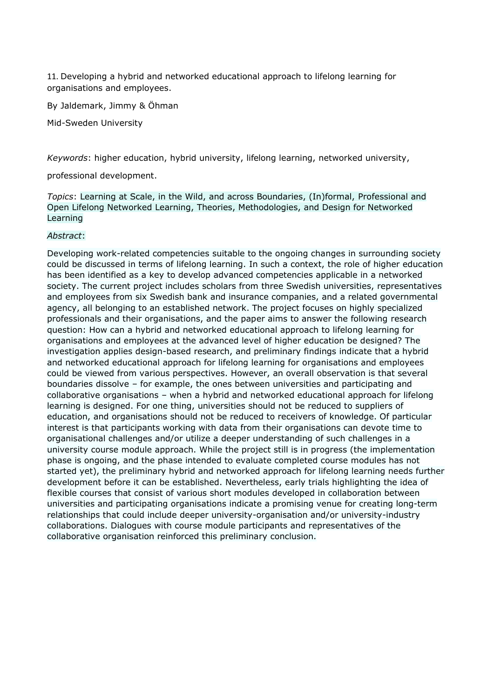11. Developing a hybrid and networked educational approach to lifelong learning for organisations and employees.

By Jaldemark, Jimmy & Öhman

Mid-Sweden University

*Keywords*: higher education, hybrid university, lifelong learning, networked university,

professional development.

*Topics*: Learning at Scale, in the Wild, and across Boundaries, (In)formal, Professional and Open Lifelong Networked Learning, Theories, Methodologies, and Design for Networked Learning

## *Abstract*:

Developing work-related competencies suitable to the ongoing changes in surrounding society could be discussed in terms of lifelong learning. In such a context, the role of higher education has been identified as a key to develop advanced competencies applicable in a networked society. The current project includes scholars from three Swedish universities, representatives and employees from six Swedish bank and insurance companies, and a related governmental agency, all belonging to an established network. The project focuses on highly specialized professionals and their organisations, and the paper aims to answer the following research question: How can a hybrid and networked educational approach to lifelong learning for organisations and employees at the advanced level of higher education be designed? The investigation applies design-based research, and preliminary findings indicate that a hybrid and networked educational approach for lifelong learning for organisations and employees could be viewed from various perspectives. However, an overall observation is that several boundaries dissolve – for example, the ones between universities and participating and collaborative organisations – when a hybrid and networked educational approach for lifelong learning is designed. For one thing, universities should not be reduced to suppliers of education, and organisations should not be reduced to receivers of knowledge. Of particular interest is that participants working with data from their organisations can devote time to organisational challenges and/or utilize a deeper understanding of such challenges in a university course module approach. While the project still is in progress (the implementation phase is ongoing, and the phase intended to evaluate completed course modules has not started yet), the preliminary hybrid and networked approach for lifelong learning needs further development before it can be established. Nevertheless, early trials highlighting the idea of flexible courses that consist of various short modules developed in collaboration between universities and participating organisations indicate a promising venue for creating long-term relationships that could include deeper university-organisation and/or university-industry collaborations. Dialogues with course module participants and representatives of the collaborative organisation reinforced this preliminary conclusion.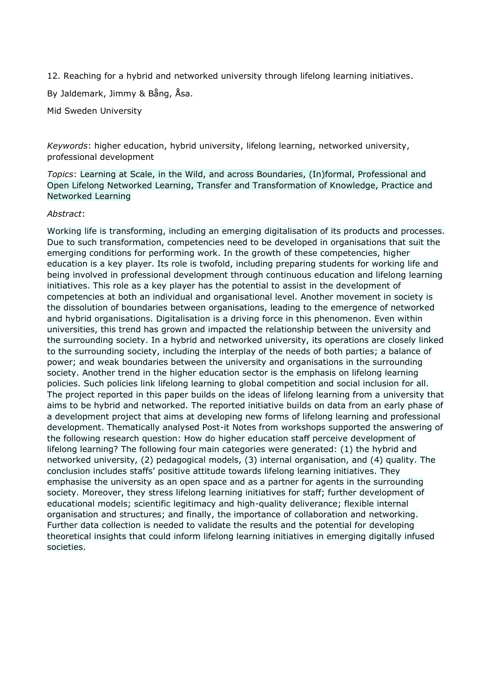12. Reaching for a hybrid and networked university through lifelong learning initiatives.

By Jaldemark, Jimmy & Bång, Åsa.

Mid Sweden University

*Keywords*: higher education, hybrid university, lifelong learning, networked university, professional development

*Topics*: Learning at Scale, in the Wild, and across Boundaries, (In)formal, Professional and Open Lifelong Networked Learning, Transfer and Transformation of Knowledge, Practice and Networked Learning

## *Abstract*:

Working life is transforming, including an emerging digitalisation of its products and processes. Due to such transformation, competencies need to be developed in organisations that suit the emerging conditions for performing work. In the growth of these competencies, higher education is a key player. Its role is twofold, including preparing students for working life and being involved in professional development through continuous education and lifelong learning initiatives. This role as a key player has the potential to assist in the development of competencies at both an individual and organisational level. Another movement in society is the dissolution of boundaries between organisations, leading to the emergence of networked and hybrid organisations. Digitalisation is a driving force in this phenomenon. Even within universities, this trend has grown and impacted the relationship between the university and the surrounding society. In a hybrid and networked university, its operations are closely linked to the surrounding society, including the interplay of the needs of both parties; a balance of power; and weak boundaries between the university and organisations in the surrounding society. Another trend in the higher education sector is the emphasis on lifelong learning policies. Such policies link lifelong learning to global competition and social inclusion for all. The project reported in this paper builds on the ideas of lifelong learning from a university that aims to be hybrid and networked. The reported initiative builds on data from an early phase of a development project that aims at developing new forms of lifelong learning and professional development. Thematically analysed Post-it Notes from workshops supported the answering of the following research question: How do higher education staff perceive development of lifelong learning? The following four main categories were generated: (1) the hybrid and networked university, (2) pedagogical models, (3) internal organisation, and (4) quality. The conclusion includes staffs' positive attitude towards lifelong learning initiatives. They emphasise the university as an open space and as a partner for agents in the surrounding society. Moreover, they stress lifelong learning initiatives for staff; further development of educational models; scientific legitimacy and high-quality deliverance; flexible internal organisation and structures; and finally, the importance of collaboration and networking. Further data collection is needed to validate the results and the potential for developing theoretical insights that could inform lifelong learning initiatives in emerging digitally infused societies.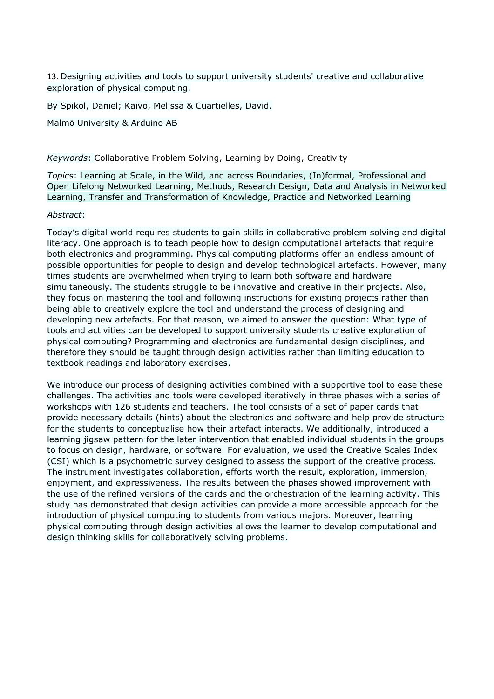13. Designing activities and tools to support university students' creative and collaborative exploration of physical computing.

By Spikol, Daniel; Kaivo, Melissa & Cuartielles, David.

Malmö University & Arduino AB

*Keywords*: Collaborative Problem Solving, Learning by Doing, Creativity

*Topics*: Learning at Scale, in the Wild, and across Boundaries, (In)formal, Professional and Open Lifelong Networked Learning, Methods, Research Design, Data and Analysis in Networked Learning, Transfer and Transformation of Knowledge, Practice and Networked Learning

### *Abstract*:

Today's digital world requires students to gain skills in collaborative problem solving and digital literacy. One approach is to teach people how to design computational artefacts that require both electronics and programming. Physical computing platforms offer an endless amount of possible opportunities for people to design and develop technological artefacts. However, many times students are overwhelmed when trying to learn both software and hardware simultaneously. The students struggle to be innovative and creative in their projects. Also, they focus on mastering the tool and following instructions for existing projects rather than being able to creatively explore the tool and understand the process of designing and developing new artefacts. For that reason, we aimed to answer the question: What type of tools and activities can be developed to support university students creative exploration of physical computing? Programming and electronics are fundamental design disciplines, and therefore they should be taught through design activities rather than limiting education to textbook readings and laboratory exercises.

We introduce our process of designing activities combined with a supportive tool to ease these challenges. The activities and tools were developed iteratively in three phases with a series of workshops with 126 students and teachers. The tool consists of a set of paper cards that provide necessary details (hints) about the electronics and software and help provide structure for the students to conceptualise how their artefact interacts. We additionally, introduced a learning jigsaw pattern for the later intervention that enabled individual students in the groups to focus on design, hardware, or software. For evaluation, we used the Creative Scales Index (CSI) which is a psychometric survey designed to assess the support of the creative process. The instrument investigates collaboration, efforts worth the result, exploration, immersion, enjoyment, and expressiveness. The results between the phases showed improvement with the use of the refined versions of the cards and the orchestration of the learning activity. This study has demonstrated that design activities can provide a more accessible approach for the introduction of physical computing to students from various majors. Moreover, learning physical computing through design activities allows the learner to develop computational and design thinking skills for collaboratively solving problems.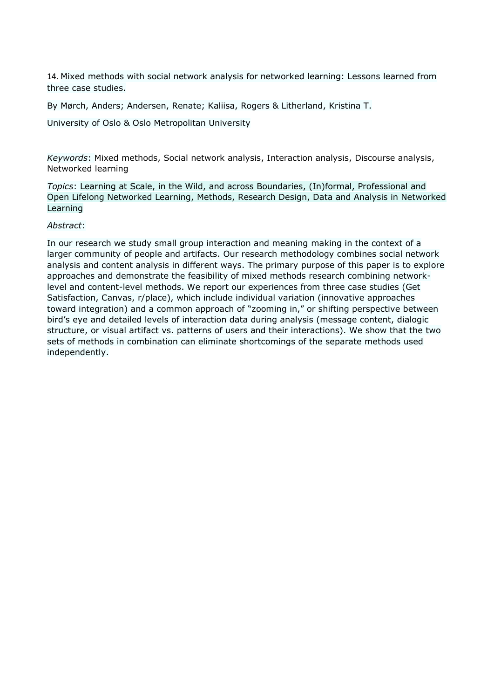14. Mixed methods with social network analysis for networked learning: Lessons learned from three case studies.

By Mørch, Anders; Andersen, Renate; Kaliisa, Rogers & Litherland, Kristina T.

University of Oslo & Oslo Metropolitan University

*Keywords*: Mixed methods, Social network analysis, Interaction analysis, Discourse analysis, Networked learning

*Topics*: Learning at Scale, in the Wild, and across Boundaries, (In)formal, Professional and Open Lifelong Networked Learning, Methods, Research Design, Data and Analysis in Networked Learning

### *Abstract*:

In our research we study small group interaction and meaning making in the context of a larger community of people and artifacts. Our research methodology combines social network analysis and content analysis in different ways. The primary purpose of this paper is to explore approaches and demonstrate the feasibility of mixed methods research combining networklevel and content-level methods. We report our experiences from three case studies (Get Satisfaction, Canvas, r/place), which include individual variation (innovative approaches toward integration) and a common approach of "zooming in," or shifting perspective between bird's eye and detailed levels of interaction data during analysis (message content, dialogic structure, or visual artifact vs. patterns of users and their interactions). We show that the two sets of methods in combination can eliminate shortcomings of the separate methods used independently.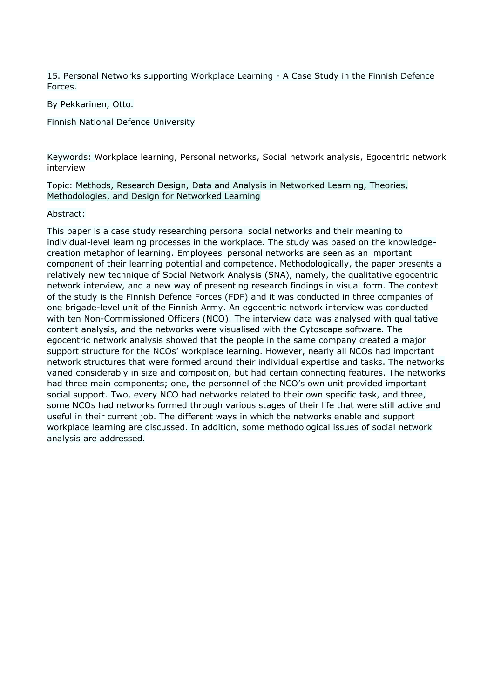15. Personal Networks supporting Workplace Learning - A Case Study in the Finnish Defence Forces.

By Pekkarinen, Otto.

Finnish National Defence University

Keywords: Workplace learning, Personal networks, Social network analysis, Egocentric network interview

Topic: Methods, Research Design, Data and Analysis in Networked Learning, Theories, Methodologies, and Design for Networked Learning

### Abstract:

This paper is a case study researching personal social networks and their meaning to individual-level learning processes in the workplace. The study was based on the knowledgecreation metaphor of learning. Employees' personal networks are seen as an important component of their learning potential and competence. Methodologically, the paper presents a relatively new technique of Social Network Analysis (SNA), namely, the qualitative egocentric network interview, and a new way of presenting research findings in visual form. The context of the study is the Finnish Defence Forces (FDF) and it was conducted in three companies of one brigade-level unit of the Finnish Army. An egocentric network interview was conducted with ten Non-Commissioned Officers (NCO). The interview data was analysed with qualitative content analysis, and the networks were visualised with the Cytoscape software. The egocentric network analysis showed that the people in the same company created a major support structure for the NCOs' workplace learning. However, nearly all NCOs had important network structures that were formed around their individual expertise and tasks. The networks varied considerably in size and composition, but had certain connecting features. The networks had three main components; one, the personnel of the NCO's own unit provided important social support. Two, every NCO had networks related to their own specific task, and three, some NCOs had networks formed through various stages of their life that were still active and useful in their current job. The different ways in which the networks enable and support workplace learning are discussed. In addition, some methodological issues of social network analysis are addressed.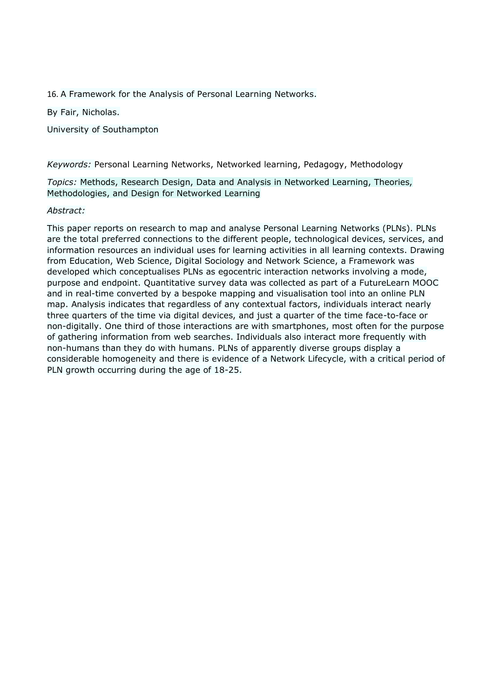16. A Framework for the Analysis of Personal Learning Networks.

By Fair, Nicholas.

University of Southampton

*Keywords:* Personal Learning Networks, Networked learning, Pedagogy, Methodology

*Topics:* Methods, Research Design, Data and Analysis in Networked Learning, Theories, Methodologies, and Design for Networked Learning

## *Abstract:*

This paper reports on research to map and analyse Personal Learning Networks (PLNs). PLNs are the total preferred connections to the different people, technological devices, services, and information resources an individual uses for learning activities in all learning contexts. Drawing from Education, Web Science, Digital Sociology and Network Science, a Framework was developed which conceptualises PLNs as egocentric interaction networks involving a mode, purpose and endpoint. Quantitative survey data was collected as part of a FutureLearn MOOC and in real-time converted by a bespoke mapping and visualisation tool into an online PLN map. Analysis indicates that regardless of any contextual factors, individuals interact nearly three quarters of the time via digital devices, and just a quarter of the time face-to-face or non-digitally. One third of those interactions are with smartphones, most often for the purpose of gathering information from web searches. Individuals also interact more frequently with non-humans than they do with humans. PLNs of apparently diverse groups display a considerable homogeneity and there is evidence of a Network Lifecycle, with a critical period of PLN growth occurring during the age of 18-25.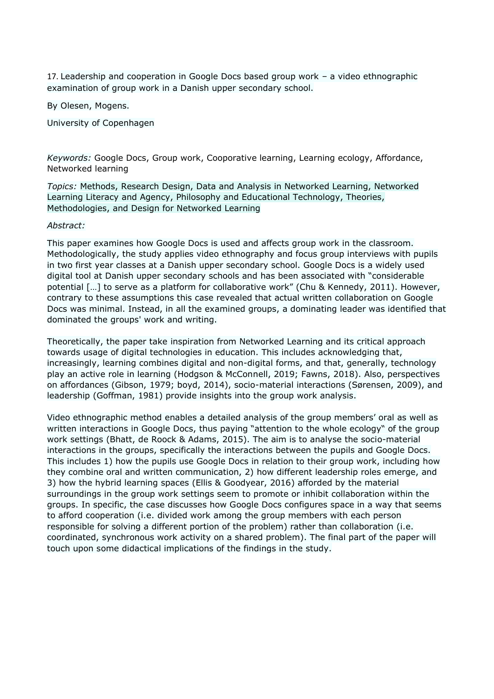17. Leadership and cooperation in Google Docs based group work – a video ethnographic examination of group work in a Danish upper secondary school.

By Olesen, Mogens.

University of Copenhagen

*Keywords:* Google Docs, Group work, Cooporative learning, Learning ecology, Affordance, Networked learning

*Topics:* Methods, Research Design, Data and Analysis in Networked Learning, Networked Learning Literacy and Agency, Philosophy and Educational Technology, Theories, Methodologies, and Design for Networked Learning

### *Abstract:*

This paper examines how Google Docs is used and affects group work in the classroom. Methodologically, the study applies video ethnography and focus group interviews with pupils in two first year classes at a Danish upper secondary school. Google Docs is a widely used digital tool at Danish upper secondary schools and has been associated with "considerable potential […] to serve as a platform for collaborative work" (Chu & Kennedy, 2011). However, contrary to these assumptions this case revealed that actual written collaboration on Google Docs was minimal. Instead, in all the examined groups, a dominating leader was identified that dominated the groups' work and writing.

Theoretically, the paper take inspiration from Networked Learning and its critical approach towards usage of digital technologies in education. This includes acknowledging that, increasingly, learning combines digital and non-digital forms, and that, generally, technology play an active role in learning (Hodgson & McConnell, 2019; Fawns, 2018). Also, perspectives on affordances (Gibson, 1979; boyd, 2014), socio-material interactions (Sørensen, 2009), and leadership (Goffman, 1981) provide insights into the group work analysis.

Video ethnographic method enables a detailed analysis of the group members' oral as well as written interactions in Google Docs, thus paying "attention to the whole ecology" of the group work settings (Bhatt, de Roock & Adams, 2015). The aim is to analyse the socio-material interactions in the groups, specifically the interactions between the pupils and Google Docs. This includes 1) how the pupils use Google Docs in relation to their group work, including how they combine oral and written communication, 2) how different leadership roles emerge, and 3) how the hybrid learning spaces (Ellis & Goodyear, 2016) afforded by the material surroundings in the group work settings seem to promote or inhibit collaboration within the groups. In specific, the case discusses how Google Docs configures space in a way that seems to afford cooperation (i.e. divided work among the group members with each person responsible for solving a different portion of the problem) rather than collaboration (i.e. coordinated, synchronous work activity on a shared problem). The final part of the paper will touch upon some didactical implications of the findings in the study.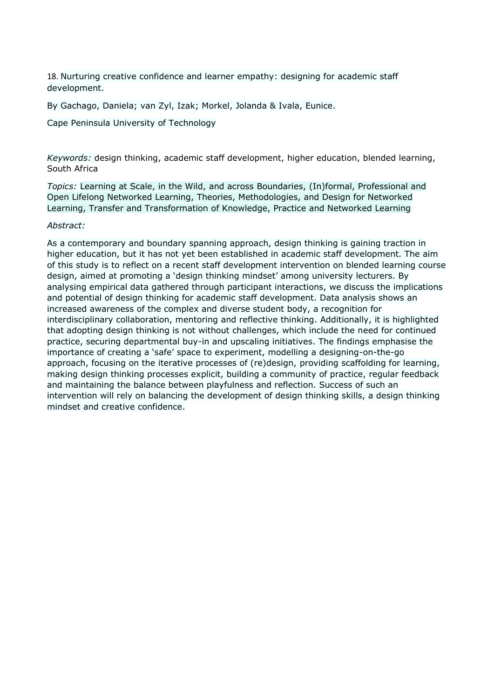18. Nurturing creative confidence and learner empathy: designing for academic staff development.

By Gachago, Daniela; van Zyl, Izak; Morkel, Jolanda & Ivala, Eunice.

Cape Peninsula University of Technology

*Keywords:* design thinking, academic staff development, higher education, blended learning, South Africa

*Topics:* Learning at Scale, in the Wild, and across Boundaries, (In)formal, Professional and Open Lifelong Networked Learning, Theories, Methodologies, and Design for Networked Learning, Transfer and Transformation of Knowledge, Practice and Networked Learning

### *Abstract:*

As a contemporary and boundary spanning approach, design thinking is gaining traction in higher education, but it has not yet been established in academic staff development. The aim of this study is to reflect on a recent staff development intervention on blended learning course design, aimed at promoting a 'design thinking mindset' among university lecturers. By analysing empirical data gathered through participant interactions, we discuss the implications and potential of design thinking for academic staff development. Data analysis shows an increased awareness of the complex and diverse student body, a recognition for interdisciplinary collaboration, mentoring and reflective thinking. Additionally, it is highlighted that adopting design thinking is not without challenges, which include the need for continued practice, securing departmental buy-in and upscaling initiatives. The findings emphasise the importance of creating a 'safe' space to experiment, modelling a designing-on-the-go approach, focusing on the iterative processes of (re)design, providing scaffolding for learning, making design thinking processes explicit, building a community of practice, regular feedback and maintaining the balance between playfulness and reflection. Success of such an intervention will rely on balancing the development of design thinking skills, a design thinking mindset and creative confidence.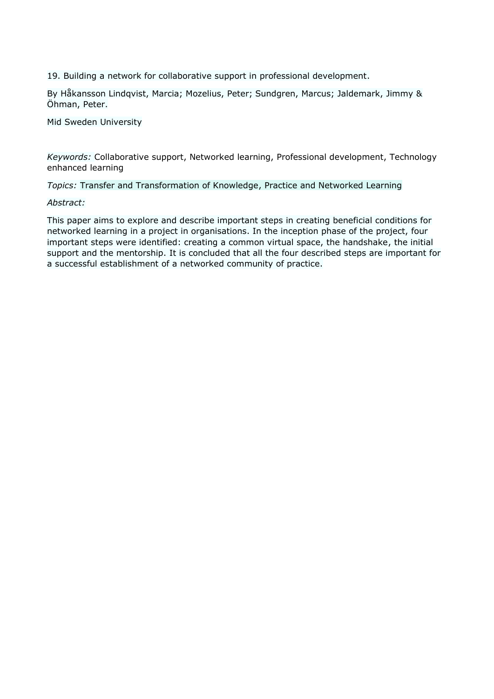19. Building a network for collaborative support in professional development.

By Håkansson Lindqvist, Marcia; Mozelius, Peter; Sundgren, Marcus; Jaldemark, Jimmy & Öhman, Peter.

Mid Sweden University

*Keywords:* Collaborative support, Networked learning, Professional development, Technology enhanced learning

*Topics:* Transfer and Transformation of Knowledge, Practice and Networked Learning

### *Abstract:*

This paper aims to explore and describe important steps in creating beneficial conditions for networked learning in a project in organisations. In the inception phase of the project, four important steps were identified: creating a common virtual space, the handshake, the initial support and the mentorship. It is concluded that all the four described steps are important for a successful establishment of a networked community of practice.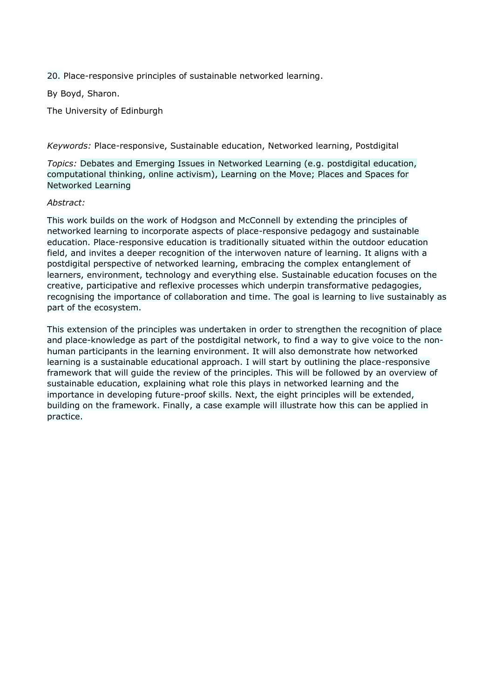20. Place-responsive principles of sustainable networked learning.

By Boyd, Sharon.

The University of Edinburgh

*Keywords:* Place-responsive, Sustainable education, Networked learning, Postdigital

*Topics:* Debates and Emerging Issues in Networked Learning (e.g. postdigital education, computational thinking, online activism), Learning on the Move; Places and Spaces for Networked Learning

## *Abstract:*

This work builds on the work of Hodgson and McConnell by extending the principles of networked learning to incorporate aspects of place-responsive pedagogy and sustainable education. Place-responsive education is traditionally situated within the outdoor education field, and invites a deeper recognition of the interwoven nature of learning. It aligns with a postdigital perspective of networked learning, embracing the complex entanglement of learners, environment, technology and everything else. Sustainable education focuses on the creative, participative and reflexive processes which underpin transformative pedagogies, recognising the importance of collaboration and time. The goal is learning to live sustainably as part of the ecosystem.

This extension of the principles was undertaken in order to strengthen the recognition of place and place-knowledge as part of the postdigital network, to find a way to give voice to the nonhuman participants in the learning environment. It will also demonstrate how networked learning is a sustainable educational approach. I will start by outlining the place-responsive framework that will guide the review of the principles. This will be followed by an overview of sustainable education, explaining what role this plays in networked learning and the importance in developing future-proof skills. Next, the eight principles will be extended, building on the framework. Finally, a case example will illustrate how this can be applied in practice.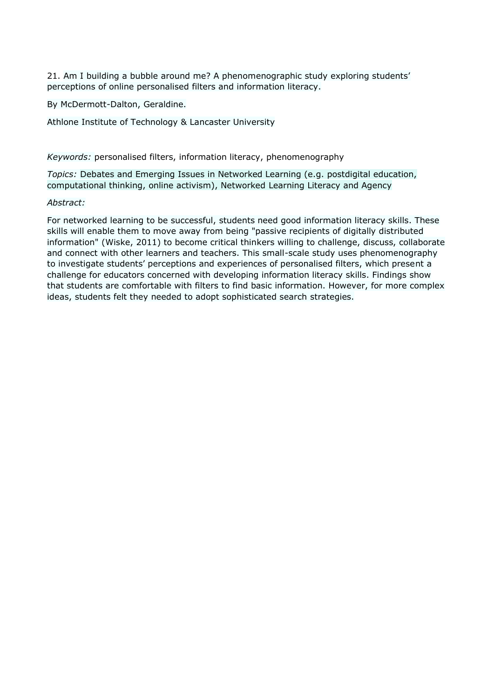21. Am I building a bubble around me? A phenomenographic study exploring students' perceptions of online personalised filters and information literacy.

By McDermott-Dalton, Geraldine.

Athlone Institute of Technology & Lancaster University

*Keywords:* personalised filters, information literacy, phenomenography

*Topics:* Debates and Emerging Issues in Networked Learning (e.g. postdigital education, computational thinking, online activism), Networked Learning Literacy and Agency

## *Abstract:*

For networked learning to be successful, students need good information literacy skills. These skills will enable them to move away from being "passive recipients of digitally distributed information" (Wiske, 2011) to become critical thinkers willing to challenge, discuss, collaborate and connect with other learners and teachers. This small-scale study uses phenomenography to investigate students' perceptions and experiences of personalised filters, which present a challenge for educators concerned with developing information literacy skills. Findings show that students are comfortable with filters to find basic information. However, for more complex ideas, students felt they needed to adopt sophisticated search strategies.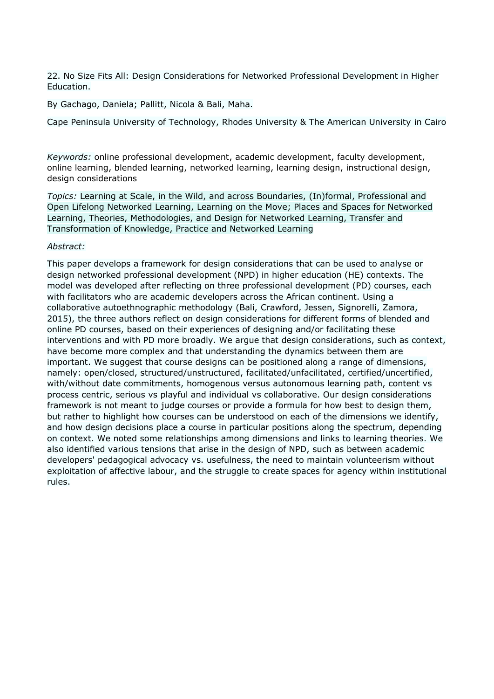22. No Size Fits All: Design Considerations for Networked Professional Development in Higher Education.

By Gachago, Daniela; Pallitt, Nicola & Bali, Maha.

Cape Peninsula University of Technology, Rhodes University & The American University in Cairo

*Keywords:* online professional development, academic development, faculty development, online learning, blended learning, networked learning, learning design, instructional design, design considerations

*Topics:* Learning at Scale, in the Wild, and across Boundaries, (In)formal, Professional and Open Lifelong Networked Learning, Learning on the Move; Places and Spaces for Networked Learning, Theories, Methodologies, and Design for Networked Learning, Transfer and Transformation of Knowledge, Practice and Networked Learning

### *Abstract:*

This paper develops a framework for design considerations that can be used to analyse or design networked professional development (NPD) in higher education (HE) contexts. The model was developed after reflecting on three professional development (PD) courses, each with facilitators who are academic developers across the African continent. Using a collaborative autoethnographic methodology (Bali, Crawford, Jessen, Signorelli, Zamora, 2015), the three authors reflect on design considerations for different forms of blended and online PD courses, based on their experiences of designing and/or facilitating these interventions and with PD more broadly. We argue that design considerations, such as context, have become more complex and that understanding the dynamics between them are important. We suggest that course designs can be positioned along a range of dimensions, namely: open/closed, structured/unstructured, facilitated/unfacilitated, certified/uncertified, with/without date commitments, homogenous versus autonomous learning path, content vs process centric, serious vs playful and individual vs collaborative. Our design considerations framework is not meant to judge courses or provide a formula for how best to design them, but rather to highlight how courses can be understood on each of the dimensions we identify, and how design decisions place a course in particular positions along the spectrum, depending on context. We noted some relationships among dimensions and links to learning theories. We also identified various tensions that arise in the design of NPD, such as between academic developers' pedagogical advocacy vs. usefulness, the need to maintain volunteerism without exploitation of affective labour, and the struggle to create spaces for agency within institutional rules.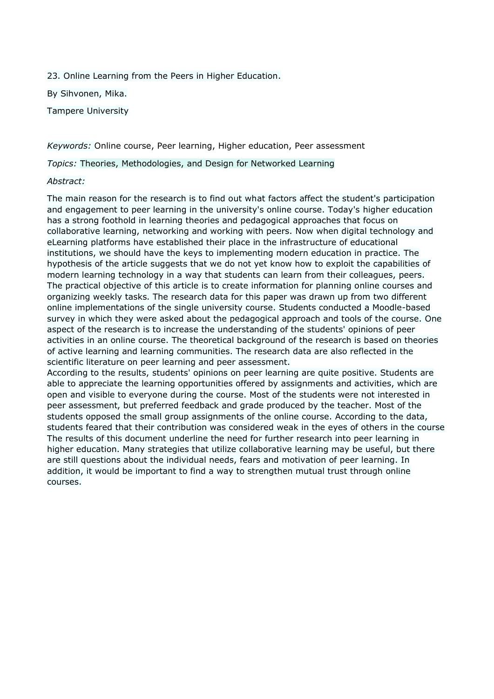23. Online Learning from the Peers in Higher Education.

By Sihvonen, Mika.

Tampere University

*Keywords:* Online course, Peer learning, Higher education, Peer assessment

*Topics:* Theories, Methodologies, and Design for Networked Learning

### *Abstract:*

The main reason for the research is to find out what factors affect the student's participation and engagement to peer learning in the university's online course. Today's higher education has a strong foothold in learning theories and pedagogical approaches that focus on collaborative learning, networking and working with peers. Now when digital technology and eLearning platforms have established their place in the infrastructure of educational institutions, we should have the keys to implementing modern education in practice. The hypothesis of the article suggests that we do not yet know how to exploit the capabilities of modern learning technology in a way that students can learn from their colleagues, peers. The practical objective of this article is to create information for planning online courses and organizing weekly tasks. The research data for this paper was drawn up from two different online implementations of the single university course. Students conducted a Moodle-based survey in which they were asked about the pedagogical approach and tools of the course. One aspect of the research is to increase the understanding of the students' opinions of peer activities in an online course. The theoretical background of the research is based on theories of active learning and learning communities. The research data are also reflected in the scientific literature on peer learning and peer assessment.

According to the results, students' opinions on peer learning are quite positive. Students are able to appreciate the learning opportunities offered by assignments and activities, which are open and visible to everyone during the course. Most of the students were not interested in peer assessment, but preferred feedback and grade produced by the teacher. Most of the students opposed the small group assignments of the online course. According to the data, students feared that their contribution was considered weak in the eyes of others in the course The results of this document underline the need for further research into peer learning in higher education. Many strategies that utilize collaborative learning may be useful, but there are still questions about the individual needs, fears and motivation of peer learning. In addition, it would be important to find a way to strengthen mutual trust through online courses.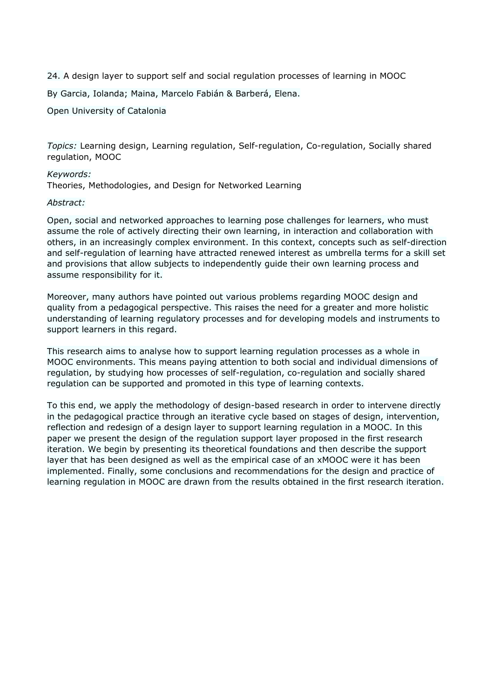24. A design layer to support self and social regulation processes of learning in MOOC

By Garcia, Iolanda; Maina, Marcelo Fabián & Barberá, Elena.

Open University of Catalonia

*Topics:* Learning design, Learning regulation, Self-regulation, Co-regulation, Socially shared regulation, MOOC

### *Keywords:*

Theories, Methodologies, and Design for Networked Learning

### *Abstract:*

Open, social and networked approaches to learning pose challenges for learners, who must assume the role of actively directing their own learning, in interaction and collaboration with others, in an increasingly complex environment. In this context, concepts such as self-direction and self-regulation of learning have attracted renewed interest as umbrella terms for a skill set and provisions that allow subjects to independently guide their own learning process and assume responsibility for it.

Moreover, many authors have pointed out various problems regarding MOOC design and quality from a pedagogical perspective. This raises the need for a greater and more holistic understanding of learning regulatory processes and for developing models and instruments to support learners in this regard.

This research aims to analyse how to support learning regulation processes as a whole in MOOC environments. This means paying attention to both social and individual dimensions of regulation, by studying how processes of self-regulation, co-regulation and socially shared regulation can be supported and promoted in this type of learning contexts.

To this end, we apply the methodology of design-based research in order to intervene directly in the pedagogical practice through an iterative cycle based on stages of design, intervention, reflection and redesign of a design layer to support learning regulation in a MOOC. In this paper we present the design of the regulation support layer proposed in the first research iteration. We begin by presenting its theoretical foundations and then describe the support layer that has been designed as well as the empirical case of an xMOOC were it has been implemented. Finally, some conclusions and recommendations for the design and practice of learning regulation in MOOC are drawn from the results obtained in the first research iteration.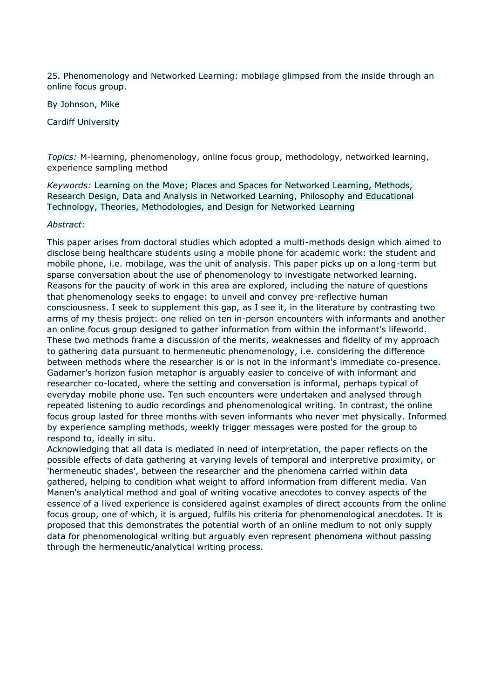25. Phenomenology and Networked Learning: mobilage glimpsed from the inside through an online focus group.

By Johnson, Mike

Cardiff University

*Topics:* M-learning, phenomenology, online focus group, methodology, networked learning, experience sampling method

*Keywords:* Learning on the Move; Places and Spaces for Networked Learning, Methods, Research Design, Data and Analysis in Networked Learning, Philosophy and Educational Technology, Theories, Methodologies, and Design for Networked Learning

### *Abstract:*

This paper arises from doctoral studies which adopted a multi-methods design which aimed to disclose being healthcare students using a mobile phone for academic work: the student and mobile phone, i.e. mobilage, was the unit of analysis. This paper picks up on a long-term but sparse conversation about the use of phenomenology to investigate networked learning. Reasons for the paucity of work in this area are explored, including the nature of questions that phenomenology seeks to engage: to unveil and convey pre-reflective human consciousness. I seek to supplement this gap, as I see it, in the literature by contrasting two arms of my thesis project: one relied on ten in-person encounters with informants and another an online focus group designed to gather information from within the informant's lifeworld. These two methods frame a discussion of the merits, weaknesses and fidelity of my approach to gathering data pursuant to hermeneutic phenomenology, i.e. considering the difference between methods where the researcher is or is not in the informant's immediate co-presence. Gadamer's horizon fusion metaphor is arguably easier to conceive of with informant and researcher co-located, where the setting and conversation is informal, perhaps typical of everyday mobile phone use. Ten such encounters were undertaken and analysed through repeated listening to audio recordings and phenomenological writing. In contrast, the online focus group lasted for three months with seven informants who never met physically. Informed by experience sampling methods, weekly trigger messages were posted for the group to respond to, ideally in situ.

Acknowledging that all data is mediated in need of interpretation, the paper reflects on the possible effects of data gathering at varying levels of temporal and interpretive proximity, or 'hermeneutic shades', between the researcher and the phenomena carried within data gathered, helping to condition what weight to afford information from different media. Van Manen's analytical method and goal of writing vocative anecdotes to convey aspects of the essence of a lived experience is considered against examples of direct accounts from the online focus group, one of which, it is argued, fulfils his criteria for phenomenological anecdotes. It is proposed that this demonstrates the potential worth of an online medium to not only supply data for phenomenological writing but arguably even represent phenomena without passing through the hermeneutic/analytical writing process.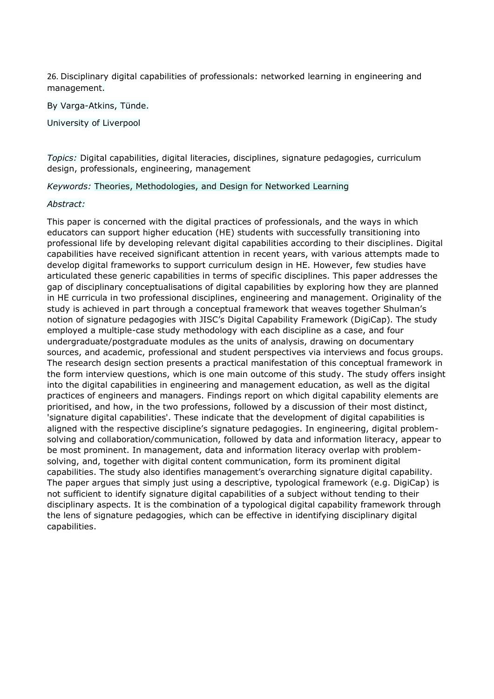26. Disciplinary digital capabilities of professionals: networked learning in engineering and management.

By Varga-Atkins, Tünde.

University of Liverpool

*Topics:* Digital capabilities, digital literacies, disciplines, signature pedagogies, curriculum design, professionals, engineering, management

*Keywords:* Theories, Methodologies, and Design for Networked Learning

### *Abstract:*

This paper is concerned with the digital practices of professionals, and the ways in which educators can support higher education (HE) students with successfully transitioning into professional life by developing relevant digital capabilities according to their disciplines. Digital capabilities have received significant attention in recent years, with various attempts made to develop digital frameworks to support curriculum design in HE. However, few studies have articulated these generic capabilities in terms of specific disciplines. This paper addresses the gap of disciplinary conceptualisations of digital capabilities by exploring how they are planned in HE curricula in two professional disciplines, engineering and management. Originality of the study is achieved in part through a conceptual framework that weaves together Shulman's notion of signature pedagogies with JISC's Digital Capability Framework (DigiCap). The study employed a multiple-case study methodology with each discipline as a case, and four undergraduate/postgraduate modules as the units of analysis, drawing on documentary sources, and academic, professional and student perspectives via interviews and focus groups. The research design section presents a practical manifestation of this conceptual framework in the form interview questions, which is one main outcome of this study. The study offers insight into the digital capabilities in engineering and management education, as well as the digital practices of engineers and managers. Findings report on which digital capability elements are prioritised, and how, in the two professions, followed by a discussion of their most distinct, 'signature digital capabilities'. These indicate that the development of digital capabilities is aligned with the respective discipline's signature pedagogies. In engineering, digital problemsolving and collaboration/communication, followed by data and information literacy, appear to be most prominent. In management, data and information literacy overlap with problemsolving, and, together with digital content communication, form its prominent digital capabilities. The study also identifies management's overarching signature digital capability. The paper argues that simply just using a descriptive, typological framework (e.g. DigiCap) is not sufficient to identify signature digital capabilities of a subject without tending to their disciplinary aspects. It is the combination of a typological digital capability framework through the lens of signature pedagogies, which can be effective in identifying disciplinary digital capabilities.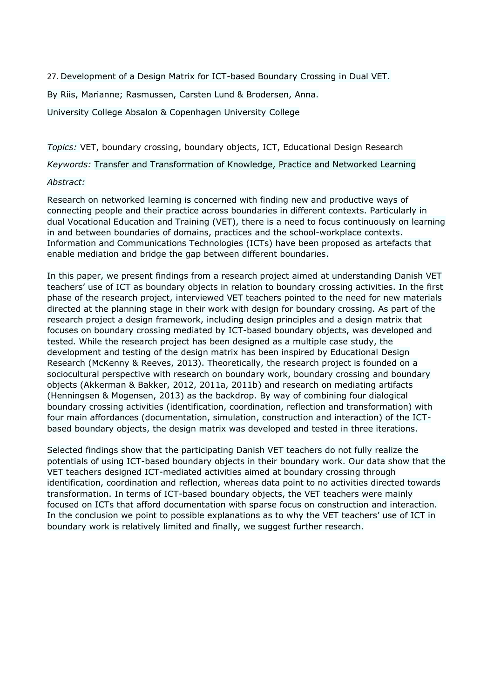27. Development of a Design Matrix for ICT-based Boundary Crossing in Dual VET.

By Riis, Marianne; Rasmussen, Carsten Lund & Brodersen, Anna.

University College Absalon & Copenhagen University College

*Topics:* VET, boundary crossing, boundary objects, ICT, Educational Design Research

*Keywords:* Transfer and Transformation of Knowledge, Practice and Networked Learning

### *Abstract:*

Research on networked learning is concerned with finding new and productive ways of connecting people and their practice across boundaries in different contexts. Particularly in dual Vocational Education and Training (VET), there is a need to focus continuously on learning in and between boundaries of domains, practices and the school-workplace contexts. Information and Communications Technologies (ICTs) have been proposed as artefacts that enable mediation and bridge the gap between different boundaries.

In this paper, we present findings from a research project aimed at understanding Danish VET teachers' use of ICT as boundary objects in relation to boundary crossing activities. In the first phase of the research project, interviewed VET teachers pointed to the need for new materials directed at the planning stage in their work with design for boundary crossing. As part of the research project a design framework, including design principles and a design matrix that focuses on boundary crossing mediated by ICT-based boundary objects, was developed and tested. While the research project has been designed as a multiple case study, the development and testing of the design matrix has been inspired by Educational Design Research (McKenny & Reeves, 2013). Theoretically, the research project is founded on a sociocultural perspective with research on boundary work, boundary crossing and boundary objects (Akkerman & Bakker, 2012, 2011a, 2011b) and research on mediating artifacts (Henningsen & Mogensen, 2013) as the backdrop. By way of combining four dialogical boundary crossing activities (identification, coordination, reflection and transformation) with four main affordances (documentation, simulation, construction and interaction) of the ICTbased boundary objects, the design matrix was developed and tested in three iterations.

Selected findings show that the participating Danish VET teachers do not fully realize the potentials of using ICT-based boundary objects in their boundary work. Our data show that the VET teachers designed ICT-mediated activities aimed at boundary crossing through identification, coordination and reflection, whereas data point to no activities directed towards transformation. In terms of ICT-based boundary objects, the VET teachers were mainly focused on ICTs that afford documentation with sparse focus on construction and interaction. In the conclusion we point to possible explanations as to why the VET teachers' use of ICT in boundary work is relatively limited and finally, we suggest further research.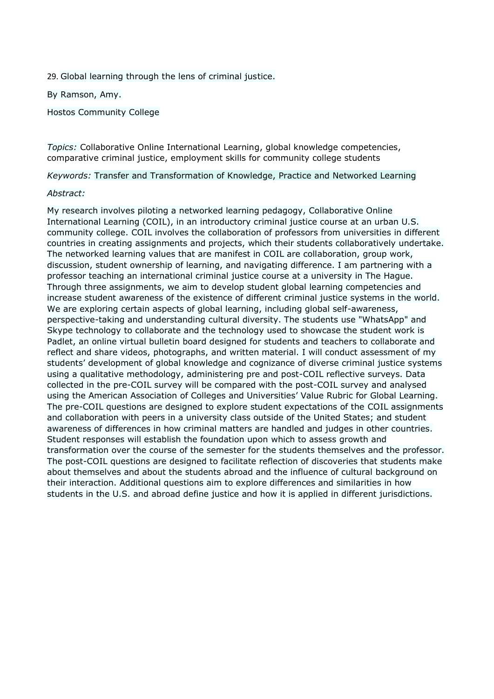29. Global learning through the lens of criminal justice.

By Ramson, Amy.

Hostos Community College

*Topics:* Collaborative Online International Learning, global knowledge competencies, comparative criminal justice, employment skills for community college students

*Keywords:* Transfer and Transformation of Knowledge, Practice and Networked Learning

### *Abstract:*

My research involves piloting a networked learning pedagogy, Collaborative Online International Learning (COIL), in an introductory criminal justice course at an urban U.S. community college. COIL involves the collaboration of professors from universities in different countries in creating assignments and projects, which their students collaboratively undertake. The networked learning values that are manifest in COIL are collaboration, group work, discussion, student ownership of learning, and navigating difference. I am partnering with a professor teaching an international criminal justice course at a university in The Hague. Through three assignments, we aim to develop student global learning competencies and increase student awareness of the existence of different criminal justice systems in the world. We are exploring certain aspects of global learning, including global self-awareness, perspective-taking and understanding cultural diversity. The students use "WhatsApp" and Skype technology to collaborate and the technology used to showcase the student work is Padlet, an online virtual bulletin board designed for students and teachers to collaborate and reflect and share videos, photographs, and written material. I will conduct assessment of my students' development of global knowledge and cognizance of diverse criminal justice systems using a qualitative methodology, administering pre and post-COIL reflective surveys. Data collected in the pre-COIL survey will be compared with the post-COIL survey and analysed using the American Association of Colleges and Universities' Value Rubric for Global Learning. The pre-COIL questions are designed to explore student expectations of the COIL assignments and collaboration with peers in a university class outside of the United States; and student awareness of differences in how criminal matters are handled and judges in other countries. Student responses will establish the foundation upon which to assess growth and transformation over the course of the semester for the students themselves and the professor. The post-COIL questions are designed to facilitate reflection of discoveries that students make about themselves and about the students abroad and the influence of cultural background on their interaction. Additional questions aim to explore differences and similarities in how students in the U.S. and abroad define justice and how it is applied in different jurisdictions.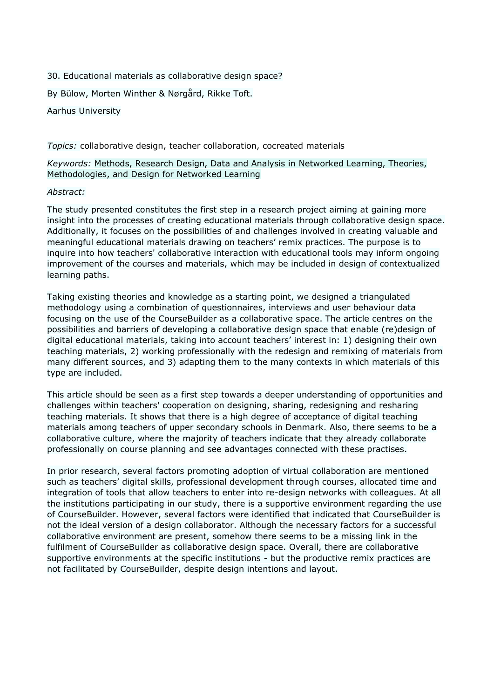30. Educational materials as collaborative design space?

By Bülow, Morten Winther & Nørgård, Rikke Toft.

Aarhus University

*Topics:* collaborative design, teacher collaboration, cocreated materials

*Keywords:* Methods, Research Design, Data and Analysis in Networked Learning, Theories, Methodologies, and Design for Networked Learning

### *Abstract:*

The study presented constitutes the first step in a research project aiming at gaining more insight into the processes of creating educational materials through collaborative design space. Additionally, it focuses on the possibilities of and challenges involved in creating valuable and meaningful educational materials drawing on teachers' remix practices. The purpose is to inquire into how teachers' collaborative interaction with educational tools may inform ongoing improvement of the courses and materials, which may be included in design of contextualized learning paths.

Taking existing theories and knowledge as a starting point, we designed a triangulated methodology using a combination of questionnaires, interviews and user behaviour data focusing on the use of the CourseBuilder as a collaborative space. The article centres on the possibilities and barriers of developing a collaborative design space that enable (re)design of digital educational materials, taking into account teachers' interest in: 1) designing their own teaching materials, 2) working professionally with the redesign and remixing of materials from many different sources, and 3) adapting them to the many contexts in which materials of this type are included.

This article should be seen as a first step towards a deeper understanding of opportunities and challenges within teachers' cooperation on designing, sharing, redesigning and resharing teaching materials. It shows that there is a high degree of acceptance of digital teaching materials among teachers of upper secondary schools in Denmark. Also, there seems to be a collaborative culture, where the majority of teachers indicate that they already collaborate professionally on course planning and see advantages connected with these practises.

In prior research, several factors promoting adoption of virtual collaboration are mentioned such as teachers' digital skills, professional development through courses, allocated time and integration of tools that allow teachers to enter into re-design networks with colleagues. At all the institutions participating in our study, there is a supportive environment regarding the use of CourseBuilder. However, several factors were identified that indicated that CourseBuilder is not the ideal version of a design collaborator. Although the necessary factors for a successful collaborative environment are present, somehow there seems to be a missing link in the fulfilment of CourseBuilder as collaborative design space. Overall, there are collaborative supportive environments at the specific institutions - but the productive remix practices are not facilitated by CourseBuilder, despite design intentions and layout.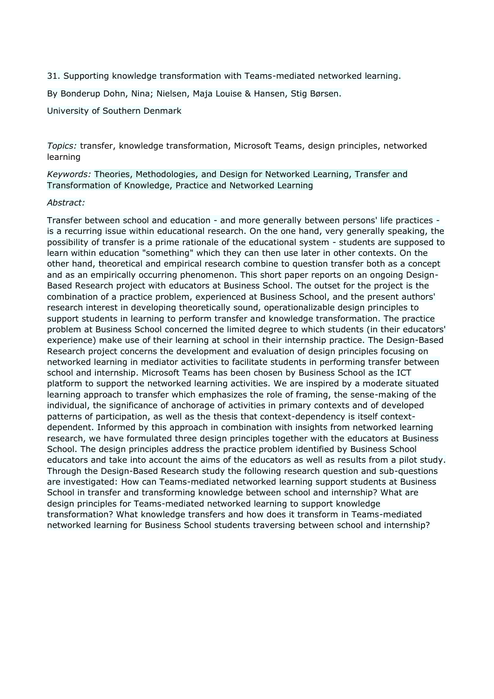31. Supporting knowledge transformation with Teams-mediated networked learning.

By Bonderup Dohn, Nina; Nielsen, Maja Louise & Hansen, Stig Børsen.

University of Southern Denmark

*Topics:* transfer, knowledge transformation, Microsoft Teams, design principles, networked learning

*Keywords:* Theories, Methodologies, and Design for Networked Learning, Transfer and Transformation of Knowledge, Practice and Networked Learning

### *Abstract:*

Transfer between school and education - and more generally between persons' life practices is a recurring issue within educational research. On the one hand, very generally speaking, the possibility of transfer is a prime rationale of the educational system - students are supposed to learn within education "something" which they can then use later in other contexts. On the other hand, theoretical and empirical research combine to question transfer both as a concept and as an empirically occurring phenomenon. This short paper reports on an ongoing Design-Based Research project with educators at Business School. The outset for the project is the combination of a practice problem, experienced at Business School, and the present authors' research interest in developing theoretically sound, operationalizable design principles to support students in learning to perform transfer and knowledge transformation. The practice problem at Business School concerned the limited degree to which students (in their educators' experience) make use of their learning at school in their internship practice. The Design-Based Research project concerns the development and evaluation of design principles focusing on networked learning in mediator activities to facilitate students in performing transfer between school and internship. Microsoft Teams has been chosen by Business School as the ICT platform to support the networked learning activities. We are inspired by a moderate situated learning approach to transfer which emphasizes the role of framing, the sense-making of the individual, the significance of anchorage of activities in primary contexts and of developed patterns of participation, as well as the thesis that context-dependency is itself contextdependent. Informed by this approach in combination with insights from networked learning research, we have formulated three design principles together with the educators at Business School. The design principles address the practice problem identified by Business School educators and take into account the aims of the educators as well as results from a pilot study. Through the Design-Based Research study the following research question and sub-questions are investigated: How can Teams-mediated networked learning support students at Business School in transfer and transforming knowledge between school and internship? What are design principles for Teams-mediated networked learning to support knowledge transformation? What knowledge transfers and how does it transform in Teams-mediated networked learning for Business School students traversing between school and internship?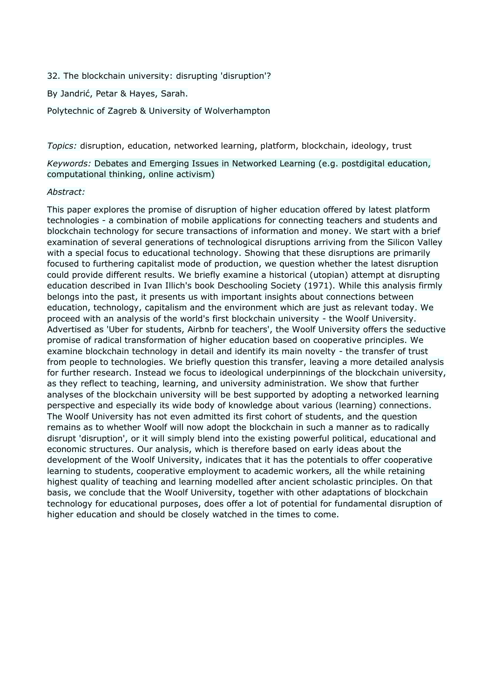- 32. The blockchain university: disrupting 'disruption'?
- By Jandrić, Petar & Hayes, Sarah.

Polytechnic of Zagreb & University of Wolverhampton

*Topics:* disruption, education, networked learning, platform, blockchain, ideology, trust

*Keywords:* Debates and Emerging Issues in Networked Learning (e.g. postdigital education, computational thinking, online activism)

### *Abstract:*

This paper explores the promise of disruption of higher education offered by latest platform technologies - a combination of mobile applications for connecting teachers and students and blockchain technology for secure transactions of information and money. We start with a brief examination of several generations of technological disruptions arriving from the Silicon Valley with a special focus to educational technology. Showing that these disruptions are primarily focused to furthering capitalist mode of production, we question whether the latest disruption could provide different results. We briefly examine a historical (utopian) attempt at disrupting education described in Ivan Illich's book Deschooling Society (1971). While this analysis firmly belongs into the past, it presents us with important insights about connections between education, technology, capitalism and the environment which are just as relevant today. We proceed with an analysis of the world's first blockchain university - the Woolf University. Advertised as 'Uber for students, Airbnb for teachers', the Woolf University offers the seductive promise of radical transformation of higher education based on cooperative principles. We examine blockchain technology in detail and identify its main novelty - the transfer of trust from people to technologies. We briefly question this transfer, leaving a more detailed analysis for further research. Instead we focus to ideological underpinnings of the blockchain university, as they reflect to teaching, learning, and university administration. We show that further analyses of the blockchain university will be best supported by adopting a networked learning perspective and especially its wide body of knowledge about various (learning) connections. The Woolf University has not even admitted its first cohort of students, and the question remains as to whether Woolf will now adopt the blockchain in such a manner as to radically disrupt 'disruption', or it will simply blend into the existing powerful political, educational and economic structures. Our analysis, which is therefore based on early ideas about the development of the Woolf University, indicates that it has the potentials to offer cooperative learning to students, cooperative employment to academic workers, all the while retaining highest quality of teaching and learning modelled after ancient scholastic principles. On that basis, we conclude that the Woolf University, together with other adaptations of blockchain technology for educational purposes, does offer a lot of potential for fundamental disruption of higher education and should be closely watched in the times to come.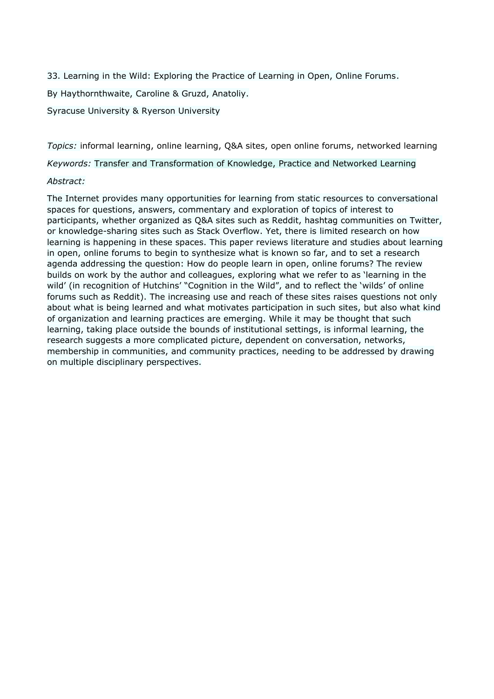33. Learning in the Wild: Exploring the Practice of Learning in Open, Online Forums.

By Haythornthwaite, Caroline & Gruzd, Anatoliy.

Syracuse University & Ryerson University

*Topics:* informal learning, online learning, Q&A sites, open online forums, networked learning

*Keywords:* Transfer and Transformation of Knowledge, Practice and Networked Learning

## *Abstract:*

The Internet provides many opportunities for learning from static resources to conversational spaces for questions, answers, commentary and exploration of topics of interest to participants, whether organized as Q&A sites such as Reddit, hashtag communities on Twitter, or knowledge-sharing sites such as Stack Overflow. Yet, there is limited research on how learning is happening in these spaces. This paper reviews literature and studies about learning in open, online forums to begin to synthesize what is known so far, and to set a research agenda addressing the question: How do people learn in open, online forums? The review builds on work by the author and colleagues, exploring what we refer to as 'learning in the wild' (in recognition of Hutchins' "Cognition in the Wild", and to reflect the 'wilds' of online forums such as Reddit). The increasing use and reach of these sites raises questions not only about what is being learned and what motivates participation in such sites, but also what kind of organization and learning practices are emerging. While it may be thought that such learning, taking place outside the bounds of institutional settings, is informal learning, the research suggests a more complicated picture, dependent on conversation, networks, membership in communities, and community practices, needing to be addressed by drawing on multiple disciplinary perspectives.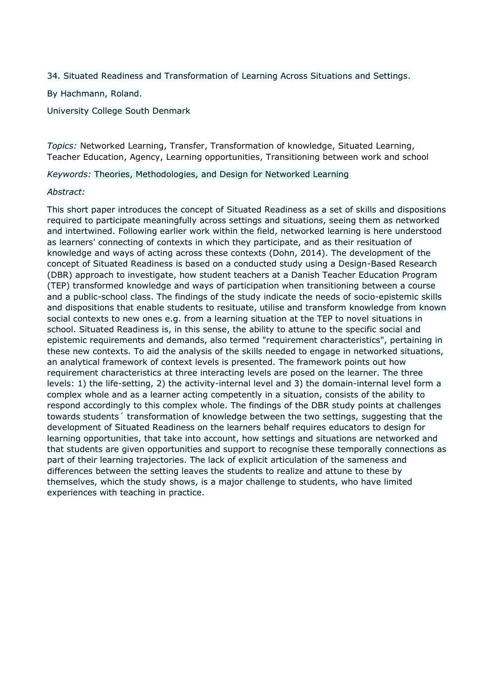34. Situated Readiness and Transformation of Learning Across Situations and Settings.

By Hachmann, Roland.

University College South Denmark

*Topics:* Networked Learning, Transfer, Transformation of knowledge, Situated Learning, Teacher Education, Agency, Learning opportunities, Transitioning between work and school

*Keywords:* Theories, Methodologies, and Design for Networked Learning

### *Abstract:*

This short paper introduces the concept of Situated Readiness as a set of skills and dispositions required to participate meaningfully across settings and situations, seeing them as networked and intertwined. Following earlier work within the field, networked learning is here understood as learners' connecting of contexts in which they participate, and as their resituation of knowledge and ways of acting across these contexts (Dohn, 2014). The development of the concept of Situated Readiness is based on a conducted study using a Design-Based Research (DBR) approach to investigate, how student teachers at a Danish Teacher Education Program (TEP) transformed knowledge and ways of participation when transitioning between a course and a public-school class. The findings of the study indicate the needs of socio-epistemic skills and dispositions that enable students to resituate, utilise and transform knowledge from known social contexts to new ones e.g. from a learning situation at the TEP to novel situations in school. Situated Readiness is, in this sense, the ability to attune to the specific social and epistemic requirements and demands, also termed "requirement characteristics", pertaining in these new contexts. To aid the analysis of the skills needed to engage in networked situations, an analytical framework of context levels is presented. The framework points out how requirement characteristics at three interacting levels are posed on the learner. The three levels: 1) the life-setting, 2) the activity-internal level and 3) the domain-internal level form a complex whole and as a learner acting competently in a situation, consists of the ability to respond accordingly to this complex whole. The findings of the DBR study points at challenges towards students´ transformation of knowledge between the two settings, suggesting that the development of Situated Readiness on the learners behalf requires educators to design for learning opportunities, that take into account, how settings and situations are networked and that students are given opportunities and support to recognise these temporally connections as part of their learning trajectories. The lack of explicit articulation of the sameness and differences between the setting leaves the students to realize and attune to these by themselves, which the study shows, is a major challenge to students, who have limited experiences with teaching in practice.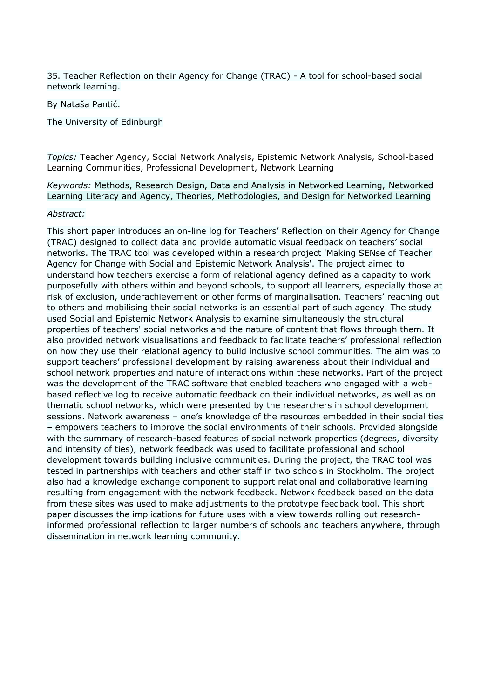35. Teacher Reflection on their Agency for Change (TRAC) - A tool for school-based social network learning.

By Nataša Pantić.

The University of Edinburgh

*Topics:* Teacher Agency, Social Network Analysis, Epistemic Network Analysis, School-based Learning Communities, Professional Development, Network Learning

*Keywords:* Methods, Research Design, Data and Analysis in Networked Learning, Networked Learning Literacy and Agency, Theories, Methodologies, and Design for Networked Learning

### *Abstract:*

This short paper introduces an on-line log for Teachers' Reflection on their Agency for Change (TRAC) designed to collect data and provide automatic visual feedback on teachers' social networks. The TRAC tool was developed within a research project 'Making SENse of Teacher Agency for Change with Social and Epistemic Network Analysis'. The project aimed to understand how teachers exercise a form of relational agency defined as a capacity to work purposefully with others within and beyond schools, to support all learners, especially those at risk of exclusion, underachievement or other forms of marginalisation. Teachers' reaching out to others and mobilising their social networks is an essential part of such agency. The study used Social and Epistemic Network Analysis to examine simultaneously the structural properties of teachers' social networks and the nature of content that flows through them. It also provided network visualisations and feedback to facilitate teachers' professional reflection on how they use their relational agency to build inclusive school communities. The aim was to support teachers' professional development by raising awareness about their individual and school network properties and nature of interactions within these networks. Part of the project was the development of the TRAC software that enabled teachers who engaged with a webbased reflective log to receive automatic feedback on their individual networks, as well as on thematic school networks, which were presented by the researchers in school development sessions. Network awareness – one's knowledge of the resources embedded in their social ties – empowers teachers to improve the social environments of their schools. Provided alongside with the summary of research-based features of social network properties (degrees, diversity and intensity of ties), network feedback was used to facilitate professional and school development towards building inclusive communities. During the project, the TRAC tool was tested in partnerships with teachers and other staff in two schools in Stockholm. The project also had a knowledge exchange component to support relational and collaborative learning resulting from engagement with the network feedback. Network feedback based on the data from these sites was used to make adjustments to the prototype feedback tool. This short paper discusses the implications for future uses with a view towards rolling out researchinformed professional reflection to larger numbers of schools and teachers anywhere, through dissemination in network learning community.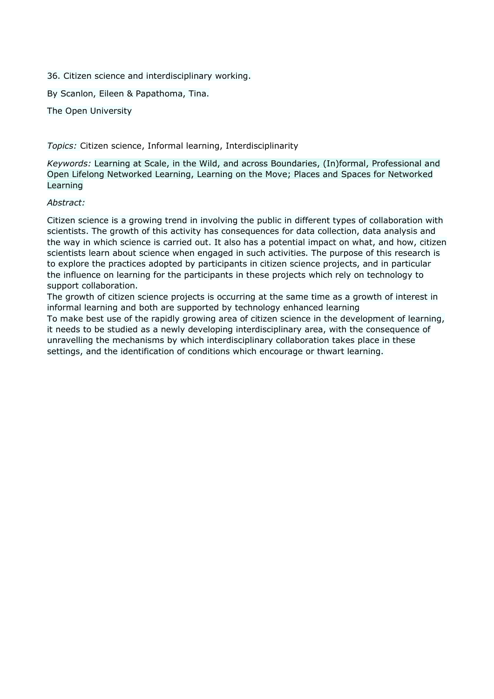36. Citizen science and interdisciplinary working.

By Scanlon, Eileen & Papathoma, Tina.

The Open University

*Topics:* Citizen science, Informal learning, Interdisciplinarity

*Keywords:* Learning at Scale, in the Wild, and across Boundaries, (In)formal, Professional and Open Lifelong Networked Learning, Learning on the Move; Places and Spaces for Networked Learning

## *Abstract:*

Citizen science is a growing trend in involving the public in different types of collaboration with scientists. The growth of this activity has consequences for data collection, data analysis and the way in which science is carried out. It also has a potential impact on what, and how, citizen scientists learn about science when engaged in such activities. The purpose of this research is to explore the practices adopted by participants in citizen science projects, and in particular the influence on learning for the participants in these projects which rely on technology to support collaboration.

The growth of citizen science projects is occurring at the same time as a growth of interest in informal learning and both are supported by technology enhanced learning To make best use of the rapidly growing area of citizen science in the development of learning, it needs to be studied as a newly developing interdisciplinary area, with the consequence of unravelling the mechanisms by which interdisciplinary collaboration takes place in these settings, and the identification of conditions which encourage or thwart learning.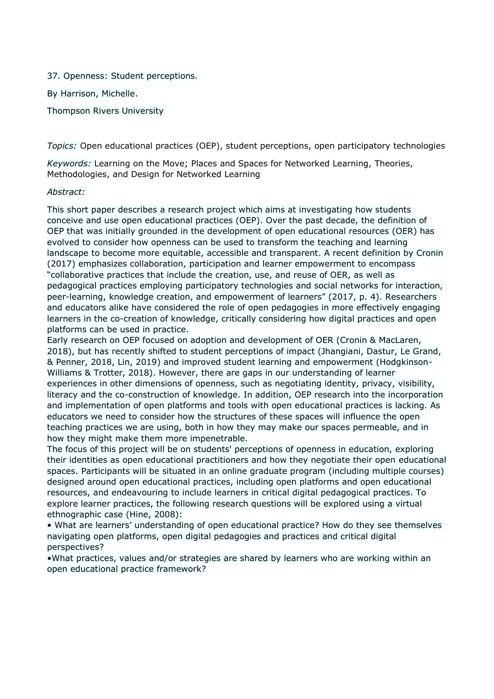37. Openness: Student perceptions.

By Harrison, Michelle.

Thompson Rivers University

*Topics:* Open educational practices (OEP), student perceptions, open participatory technologies

*Keywords:* Learning on the Move; Places and Spaces for Networked Learning, Theories, Methodologies, and Design for Networked Learning

### *Abstract:*

This short paper describes a research project which aims at investigating how students conceive and use open educational practices (OEP). Over the past decade, the definition of OEP that was initially grounded in the development of open educational resources (OER) has evolved to consider how openness can be used to transform the teaching and learning landscape to become more equitable, accessible and transparent. A recent definition by Cronin (2017) emphasizes collaboration, participation and learner empowerment to encompass "collaborative practices that include the creation, use, and reuse of OER, as well as pedagogical practices employing participatory technologies and social networks for interaction, peer-learning, knowledge creation, and empowerment of learners" (2017, p. 4). Researchers and educators alike have considered the role of open pedagogies in more effectively engaging learners in the co-creation of knowledge, critically considering how digital practices and open platforms can be used in practice.

Early research on OEP focused on adoption and development of OER (Cronin & MacLaren, 2018), but has recently shifted to student perceptions of impact (Jhangiani, Dastur, Le Grand, & Penner, 2018, Lin, 2019) and improved student learning and empowerment (Hodgkinson-Williams & Trotter, 2018). However, there are gaps in our understanding of learner experiences in other dimensions of openness, such as negotiating identity, privacy, visibility, literacy and the co-construction of knowledge. In addition, OEP research into the incorporation and implementation of open platforms and tools with open educational practices is lacking. As educators we need to consider how the structures of these spaces will influence the open teaching practices we are using, both in how they may make our spaces permeable, and in how they might make them more impenetrable.

The focus of this project will be on students' perceptions of openness in education, exploring their identities as open educational practitioners and how they negotiate their open educational spaces. Participants will be situated in an online graduate program (including multiple courses) designed around open educational practices, including open platforms and open educational resources, and endeavouring to include learners in critical digital pedagogical practices. To explore learner practices, the following research questions will be explored using a virtual ethnographic case (Hine, 2008):

• What are learners' understanding of open educational practice? How do they see themselves navigating open platforms, open digital pedagogies and practices and critical digital perspectives?

•What practices, values and/or strategies are shared by learners who are working within an open educational practice framework?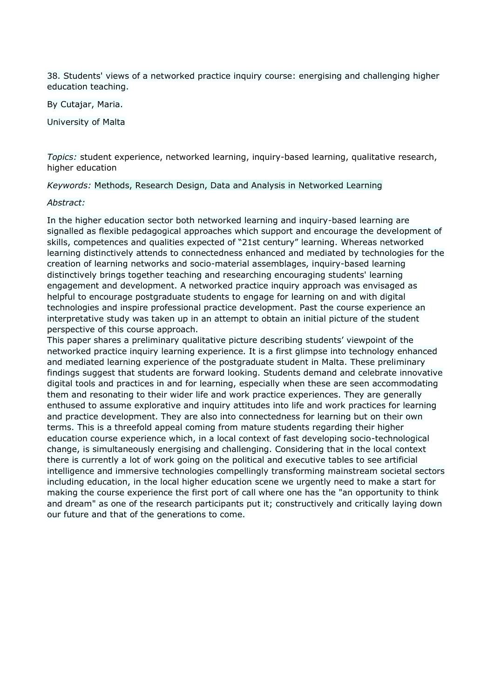38. Students' views of a networked practice inquiry course: energising and challenging higher education teaching.

By Cutajar, Maria.

University of Malta

*Topics:* student experience, networked learning, inquiry-based learning, qualitative research, higher education

*Keywords:* Methods, Research Design, Data and Analysis in Networked Learning

### *Abstract:*

In the higher education sector both networked learning and inquiry-based learning are signalled as flexible pedagogical approaches which support and encourage the development of skills, competences and qualities expected of "21st century" learning. Whereas networked learning distinctively attends to connectedness enhanced and mediated by technologies for the creation of learning networks and socio-material assemblages, inquiry-based learning distinctively brings together teaching and researching encouraging students' learning engagement and development. A networked practice inquiry approach was envisaged as helpful to encourage postgraduate students to engage for learning on and with digital technologies and inspire professional practice development. Past the course experience an interpretative study was taken up in an attempt to obtain an initial picture of the student perspective of this course approach.

This paper shares a preliminary qualitative picture describing students' viewpoint of the networked practice inquiry learning experience. It is a first glimpse into technology enhanced and mediated learning experience of the postgraduate student in Malta. These preliminary findings suggest that students are forward looking. Students demand and celebrate innovative digital tools and practices in and for learning, especially when these are seen accommodating them and resonating to their wider life and work practice experiences. They are generally enthused to assume explorative and inquiry attitudes into life and work practices for learning and practice development. They are also into connectedness for learning but on their own terms. This is a threefold appeal coming from mature students regarding their higher education course experience which, in a local context of fast developing socio-technological change, is simultaneously energising and challenging. Considering that in the local context there is currently a lot of work going on the political and executive tables to see artificial intelligence and immersive technologies compellingly transforming mainstream societal sectors including education, in the local higher education scene we urgently need to make a start for making the course experience the first port of call where one has the "an opportunity to think and dream" as one of the research participants put it; constructively and critically laying down our future and that of the generations to come.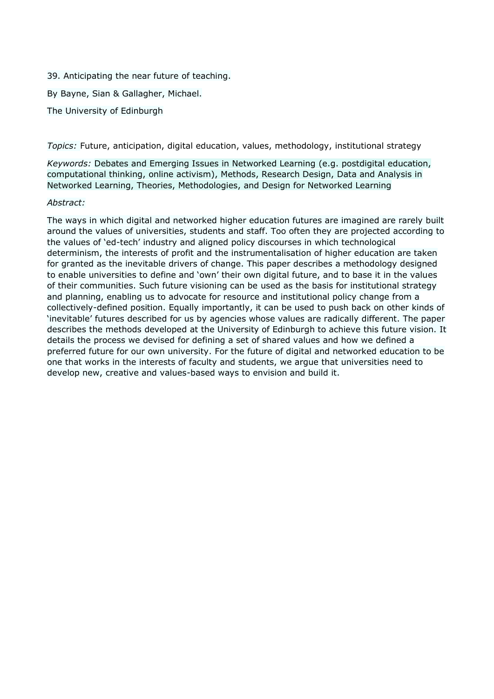39. Anticipating the near future of teaching.

By Bayne, Sian & Gallagher, Michael.

The University of Edinburgh

*Topics:* Future, anticipation, digital education, values, methodology, institutional strategy

*Keywords:* Debates and Emerging Issues in Networked Learning (e.g. postdigital education, computational thinking, online activism), Methods, Research Design, Data and Analysis in Networked Learning, Theories, Methodologies, and Design for Networked Learning

### *Abstract:*

The ways in which digital and networked higher education futures are imagined are rarely built around the values of universities, students and staff. Too often they are projected according to the values of 'ed-tech' industry and aligned policy discourses in which technological determinism, the interests of profit and the instrumentalisation of higher education are taken for granted as the inevitable drivers of change. This paper describes a methodology designed to enable universities to define and 'own' their own digital future, and to base it in the values of their communities. Such future visioning can be used as the basis for institutional strategy and planning, enabling us to advocate for resource and institutional policy change from a collectively-defined position. Equally importantly, it can be used to push back on other kinds of 'inevitable' futures described for us by agencies whose values are radically different. The paper describes the methods developed at the University of Edinburgh to achieve this future vision. It details the process we devised for defining a set of shared values and how we defined a preferred future for our own university. For the future of digital and networked education to be one that works in the interests of faculty and students, we argue that universities need to develop new, creative and values-based ways to envision and build it.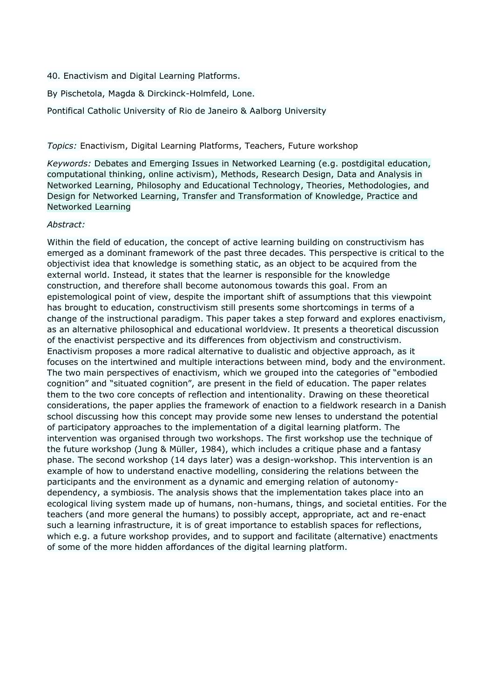- 40. Enactivism and Digital Learning Platforms.
- By Pischetola, Magda & Dirckinck-Holmfeld, Lone.

Pontifical Catholic University of Rio de Janeiro & Aalborg University

*Topics:* Enactivism, Digital Learning Platforms, Teachers, Future workshop

*Keywords:* Debates and Emerging Issues in Networked Learning (e.g. postdigital education, computational thinking, online activism), Methods, Research Design, Data and Analysis in Networked Learning, Philosophy and Educational Technology, Theories, Methodologies, and Design for Networked Learning, Transfer and Transformation of Knowledge, Practice and Networked Learning

## *Abstract:*

Within the field of education, the concept of active learning building on constructivism has emerged as a dominant framework of the past three decades. This perspective is critical to the objectivist idea that knowledge is something static, as an object to be acquired from the external world. Instead, it states that the learner is responsible for the knowledge construction, and therefore shall become autonomous towards this goal. From an epistemological point of view, despite the important shift of assumptions that this viewpoint has brought to education, constructivism still presents some shortcomings in terms of a change of the instructional paradigm. This paper takes a step forward and explores enactivism, as an alternative philosophical and educational worldview. It presents a theoretical discussion of the enactivist perspective and its differences from objectivism and constructivism. Enactivism proposes a more radical alternative to dualistic and objective approach, as it focuses on the intertwined and multiple interactions between mind, body and the environment. The two main perspectives of enactivism, which we grouped into the categories of "embodied cognition" and "situated cognition", are present in the field of education. The paper relates them to the two core concepts of reflection and intentionality. Drawing on these theoretical considerations, the paper applies the framework of enaction to a fieldwork research in a Danish school discussing how this concept may provide some new lenses to understand the potential of participatory approaches to the implementation of a digital learning platform. The intervention was organised through two workshops. The first workshop use the technique of the future workshop (Jung & Müller, 1984), which includes a critique phase and a fantasy phase. The second workshop (14 days later) was a design-workshop. This intervention is an example of how to understand enactive modelling, considering the relations between the participants and the environment as a dynamic and emerging relation of autonomydependency, a symbiosis. The analysis shows that the implementation takes place into an ecological living system made up of humans, non-humans, things, and societal entities. For the teachers (and more general the humans) to possibly accept, appropriate, act and re-enact such a learning infrastructure, it is of great importance to establish spaces for reflections, which e.g. a future workshop provides, and to support and facilitate (alternative) enactments of some of the more hidden affordances of the digital learning platform.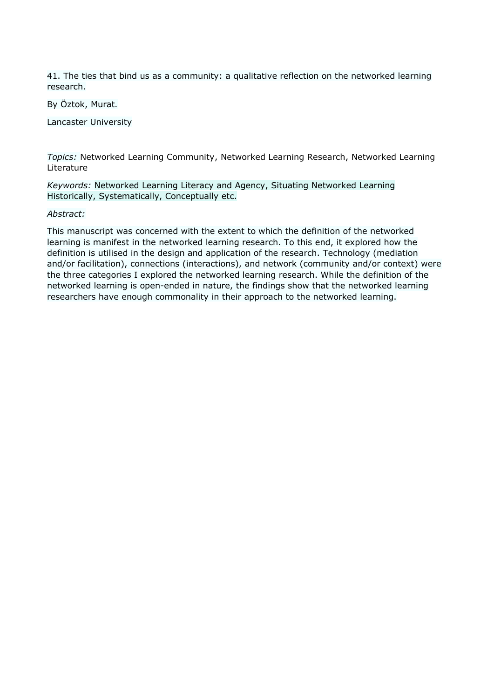41. The ties that bind us as a community: a qualitative reflection on the networked learning research.

By Öztok, Murat.

Lancaster University

*Topics:* Networked Learning Community, Networked Learning Research, Networked Learning Literature

*Keywords:* Networked Learning Literacy and Agency, Situating Networked Learning Historically, Systematically, Conceptually etc.

# *Abstract:*

This manuscript was concerned with the extent to which the definition of the networked learning is manifest in the networked learning research. To this end, it explored how the definition is utilised in the design and application of the research. Technology (mediation and/or facilitation), connections (interactions), and network (community and/or context) were the three categories I explored the networked learning research. While the definition of the networked learning is open-ended in nature, the findings show that the networked learning researchers have enough commonality in their approach to the networked learning.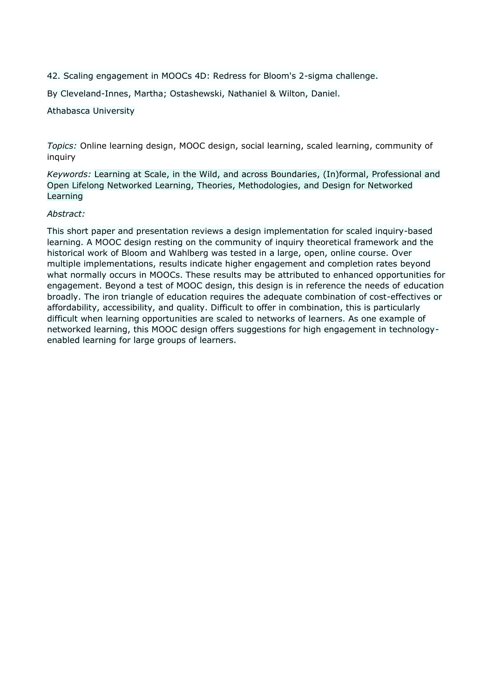42. Scaling engagement in MOOCs 4D: Redress for Bloom's 2-sigma challenge.

By Cleveland-Innes, Martha; Ostashewski, Nathaniel & Wilton, Daniel.

Athabasca University

*Topics:* Online learning design, MOOC design, social learning, scaled learning, community of inquiry

*Keywords:* Learning at Scale, in the Wild, and across Boundaries, (In)formal, Professional and Open Lifelong Networked Learning, Theories, Methodologies, and Design for Networked Learning

## *Abstract:*

This short paper and presentation reviews a design implementation for scaled inquiry-based learning. A MOOC design resting on the community of inquiry theoretical framework and the historical work of Bloom and Wahlberg was tested in a large, open, online course. Over multiple implementations, results indicate higher engagement and completion rates beyond what normally occurs in MOOCs. These results may be attributed to enhanced opportunities for engagement. Beyond a test of MOOC design, this design is in reference the needs of education broadly. The iron triangle of education requires the adequate combination of cost-effectives or affordability, accessibility, and quality. Difficult to offer in combination, this is particularly difficult when learning opportunities are scaled to networks of learners. As one example of networked learning, this MOOC design offers suggestions for high engagement in technologyenabled learning for large groups of learners.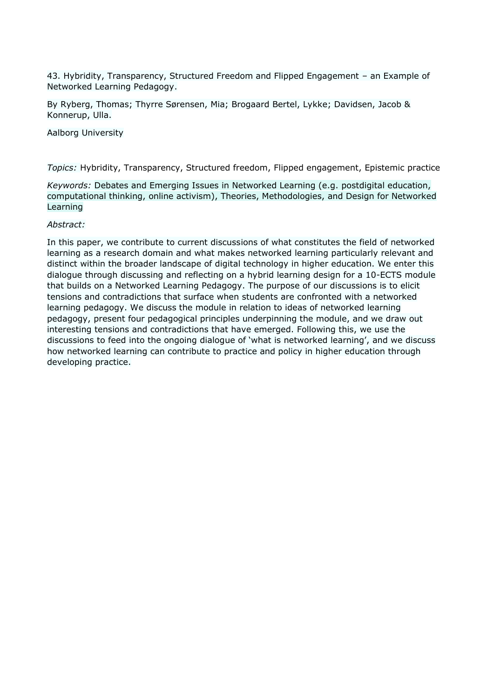43. Hybridity, Transparency, Structured Freedom and Flipped Engagement – an Example of Networked Learning Pedagogy.

By Ryberg, Thomas; Thyrre Sørensen, Mia; Brogaard Bertel, Lykke; Davidsen, Jacob & Konnerup, Ulla.

Aalborg University

*Topics:* Hybridity, Transparency, Structured freedom, Flipped engagement, Epistemic practice

*Keywords:* Debates and Emerging Issues in Networked Learning (e.g. postdigital education, computational thinking, online activism), Theories, Methodologies, and Design for Networked Learning

### *Abstract:*

In this paper, we contribute to current discussions of what constitutes the field of networked learning as a research domain and what makes networked learning particularly relevant and distinct within the broader landscape of digital technology in higher education. We enter this dialogue through discussing and reflecting on a hybrid learning design for a 10-ECTS module that builds on a Networked Learning Pedagogy. The purpose of our discussions is to elicit tensions and contradictions that surface when students are confronted with a networked learning pedagogy. We discuss the module in relation to ideas of networked learning pedagogy, present four pedagogical principles underpinning the module, and we draw out interesting tensions and contradictions that have emerged. Following this, we use the discussions to feed into the ongoing dialogue of 'what is networked learning', and we discuss how networked learning can contribute to practice and policy in higher education through developing practice.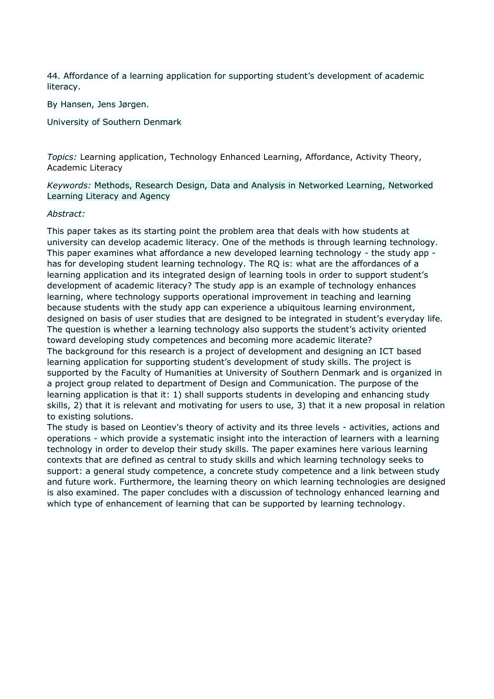44. Affordance of a learning application for supporting student's development of academic literacy.

By Hansen, Jens Jørgen.

University of Southern Denmark

*Topics:* Learning application, Technology Enhanced Learning, Affordance, Activity Theory, Academic Literacy

*Keywords:* Methods, Research Design, Data and Analysis in Networked Learning, Networked Learning Literacy and Agency

### *Abstract:*

This paper takes as its starting point the problem area that deals with how students at university can develop academic literacy. One of the methods is through learning technology. This paper examines what affordance a new developed learning technology - the study app has for developing student learning technology. The RQ is: what are the affordances of a learning application and its integrated design of learning tools in order to support student's development of academic literacy? The study app is an example of technology enhances learning, where technology supports operational improvement in teaching and learning because students with the study app can experience a ubiquitous learning environment, designed on basis of user studies that are designed to be integrated in student's everyday life. The question is whether a learning technology also supports the student's activity oriented toward developing study competences and becoming more academic literate? The background for this research is a project of development and designing an ICT based learning application for supporting student's development of study skills. The project is supported by the Faculty of Humanities at University of Southern Denmark and is organized in a project group related to department of Design and Communication. The purpose of the learning application is that it: 1) shall supports students in developing and enhancing study skills, 2) that it is relevant and motivating for users to use, 3) that it a new proposal in relation to existing solutions.

The study is based on Leontiev's theory of activity and its three levels - activities, actions and operations - which provide a systematic insight into the interaction of learners with a learning technology in order to develop their study skills. The paper examines here various learning contexts that are defined as central to study skills and which learning technology seeks to support: a general study competence, a concrete study competence and a link between study and future work. Furthermore, the learning theory on which learning technologies are designed is also examined. The paper concludes with a discussion of technology enhanced learning and which type of enhancement of learning that can be supported by learning technology.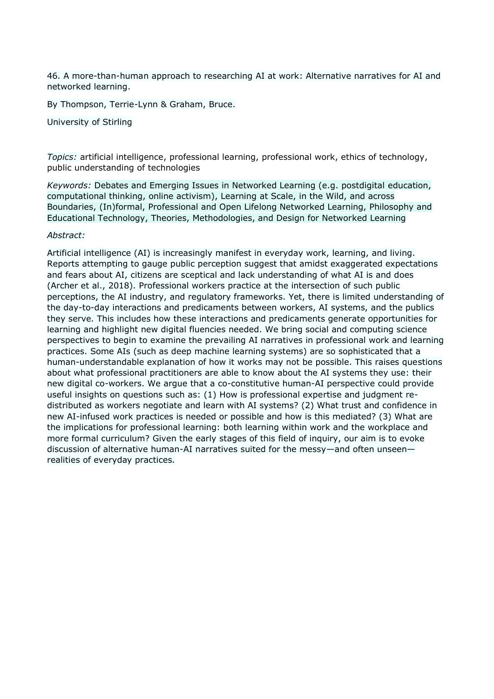46. A more-than-human approach to researching AI at work: Alternative narratives for AI and networked learning.

By Thompson, Terrie-Lynn & Graham, Bruce.

University of Stirling

*Topics:* artificial intelligence, professional learning, professional work, ethics of technology, public understanding of technologies

*Keywords:* Debates and Emerging Issues in Networked Learning (e.g. postdigital education, computational thinking, online activism), Learning at Scale, in the Wild, and across Boundaries, (In)formal, Professional and Open Lifelong Networked Learning, Philosophy and Educational Technology, Theories, Methodologies, and Design for Networked Learning

### *Abstract:*

Artificial intelligence (AI) is increasingly manifest in everyday work, learning, and living. Reports attempting to gauge public perception suggest that amidst exaggerated expectations and fears about AI, citizens are sceptical and lack understanding of what AI is and does (Archer et al., 2018). Professional workers practice at the intersection of such public perceptions, the AI industry, and regulatory frameworks. Yet, there is limited understanding of the day-to-day interactions and predicaments between workers, AI systems, and the publics they serve. This includes how these interactions and predicaments generate opportunities for learning and highlight new digital fluencies needed. We bring social and computing science perspectives to begin to examine the prevailing AI narratives in professional work and learning practices. Some AIs (such as deep machine learning systems) are so sophisticated that a human-understandable explanation of how it works may not be possible. This raises questions about what professional practitioners are able to know about the AI systems they use: their new digital co-workers. We argue that a co-constitutive human-AI perspective could provide useful insights on questions such as: (1) How is professional expertise and judgment redistributed as workers negotiate and learn with AI systems? (2) What trust and confidence in new AI-infused work practices is needed or possible and how is this mediated? (3) What are the implications for professional learning: both learning within work and the workplace and more formal curriculum? Given the early stages of this field of inquiry, our aim is to evoke discussion of alternative human-AI narratives suited for the messy—and often unseen realities of everyday practices.